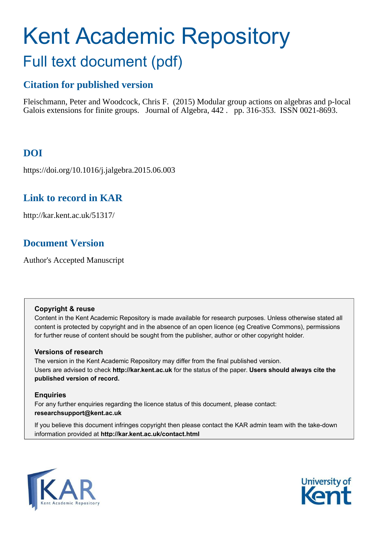# <span id="page-0-1"></span>Kent Academic Repository Full text document (pdf)

## **Citation for published version**

Fleischmann, Peter and Woodcock, Chris F. (2015) Modular group actions on algebras and p-local Galois extensions for finite groups. Journal of Algebra, 442 . pp. 316-353. ISSN 0021-8693.

# **DOI**

https://doi.org/10.1016/j.jalgebra.2015.06.003

# **Link to record in KAR**

http://kar.kent.ac.uk/51317/

# **Document Version**

Author's Accepted Manuscript

## **Copyright & reuse**

Content in the Kent Academic Repository is made available for research purposes. Unless otherwise stated all content is protected by copyright and in the absence of an open licence (eg Creative Commons), permissions for further reuse of content should be sought from the publisher, author or other copyright holder.

## **Versions of research**

The version in the Kent Academic Repository may differ from the final published version. Users are advised to check **http://kar.kent.ac.uk** for the status of the paper. **Users should always cite the published version of record.**

## <span id="page-0-0"></span>**Enquiries**

For any further enquiries regarding the licence status of this document, please contact: **researchsupport@kent.ac.uk**

If you believe this document infringes copyright then please contact the KAR admin team with the take-down information provided at **http://kar.kent.ac.uk/contact.html**



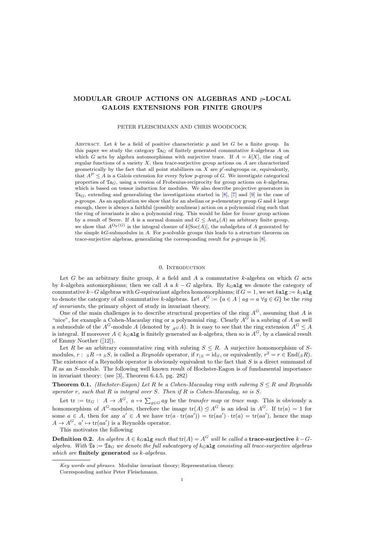### <span id="page-1-0"></span>MODULAR GROUP ACTIONS ON ALGEBRAS AND p-LOCAL GALOIS EXTENSIONS FOR FINITE GROUPS

#### PETER FLEISCHMANN AND CHRIS WOODCOCK

ABSTRACT. Let k be a field of positive characteristic p and let G be a finite group. In this paper we study the category  $\mathfrak{Is}_{G}$  of finitely generated commutative k-algebras A on which G acts by algebra automorphisms with surjective trace. If  $A = k[X]$ , the ring of regular functions of a variety  $X$ , then trace-surjective group actions on  $A$  are characterized geometrically by the fact that all point stabilizers on  $X$  are  $p'$ -subgroups or, equivalently, that  $A^P \leq A$  is a Galois extension for every Sylow p-group of G. We investigate categorical properties of  $\mathfrak{Is}_G$ , using a version of Frobenius-reciprocity for group actions on k-algebras, which is based on tensor induction for modules. We also describe projective generators in  $\mathfrak{Is}_{G}$ , extending and generalizing the investigations started in [\[8\]](#page-22-0), [\[7\]](#page-22-1) and [\[9\]](#page-22-2) in the case of p-groups. As an application we show that for an abelian or p-elementary group  $G$  and  $k$  large enough, there is always a faithful (possibly nonlinear) action on a polynomial ring such that the ring of invariants is also a polynomial ring. This would be false for *linear* group actions by a result of Serre. If A is a normal domain and  $G \leq \text{Aut}_k(A)$  an arbitrary finite group, we show that  $A^{O_p(G)}$  is the integral closure of  $k[Soc(A)]$ , the subalgebra of A generated by the simple  $kG$ -submodules in A. For p-solvable groups this leads to a structure theorem on trace-surjective algebras, generalizing the corresponding result for p-groups in [\[8\]](#page-22-0).

#### 0. Introduction

<span id="page-1-1"></span>Let G be an arbitrary finite group,  $k$  a field and A a commutative  $k$ -algebra on which G acts by k-algebra automorphisms; then we call A a  $k - G$  algebra. By  $k_G$  algebre the category of commutative k–G algebras with G-equivariant algebra homomorphisms; if  $G = 1$ , we set kalg := k<sub>1</sub>alg to denote the category of all commutative k-algebras. Let  $A^G := \{a \in A \mid ag = a \,\,\forall g \in G\}$  be the ring of invariants, the primary object of study in invariant theory.

One of the main challenges is to describe structural properties of the ring  $A^G$ , assuming that A is "nice", for example a Cohen-Macaulay ring or a polynomial ring. Clearly  $A^G$  is a subring of A as well a submodule of the  $A^G$ -module A (denoted by  $_{A^G}A$ ). It is easy to see that the ring extension  $A^G \leq A$ is integral. If moreover  $A \in k_G$  alg is finitely generated as k-algebra, then so is  $A^G$ , by a classical result of Emmy Noether([\[12\]](#page-22-3)).

Let R be an arbitrary commutative ring with subring  $S \leq R$ . A surjective homomorphism of Smodules,  $r: sR \to sS$ , is called a *Reynolds* operator, if  $r_{|S} = id_S$ , or equivalently,  $r^2 = r \in End(sR)$ . The existence of a Reynolds operator is obviously equivalent to the fact that  $S$  is a direct summand of R as an S-module. The following well known result of Hochster-Eagon is of fundamental importance in invariant theory: (see [\[3\]](#page-22-4), Theorem 6.4.5, pg. 282)

**Theorem 0.1.** (Hochster-Eagon) Let R be a Cohen-Macaulay ring with subring  $S \leq R$  and Reynolds operator  $r$ , such that  $R$  is integral over  $S$ . Then if  $R$  is Cohen-Macaulay, so is  $S$ .

Let  $\text{tr} := \text{tr}_G: A \to A^G, a \mapsto \sum_{g \in G} ag$  be the *transfer map* or *trace map*. This is obviously a homomorphism of  $A^G$ -modules, therefore the image  $tr(A) \leq A^G$  is an ideal in  $A^G$ . If  $tr(a) = 1$  for some  $a \in A$ , then for any  $a' \in A$  we have  $\text{tr}(a \cdot \text{tr}(aa')) = \text{tr}(aa') \cdot \text{tr}(a) = \text{tr}(aa')$ , hence the map  $A \to A^G$ ,  $a' \mapsto \text{tr}(aa')$  is a Reynolds operator.

This motivates the following

**Definition 0.2.** An algebra  $A \in k_G$  alg such that  $\text{tr}(A) = A^G$  will be called a trace-surjective  $k - G$ algebra. With  $\mathfrak{Is} := \mathfrak{Is}_G$  we denote the full subcategory of  $k_G$ **alg** consisting all trace-surjective algebras which are finitely generated as k-algebras.

*Key words and phrases.* Modular invariant theory; Representation theory.

Corresponding author Peter Fleischmann.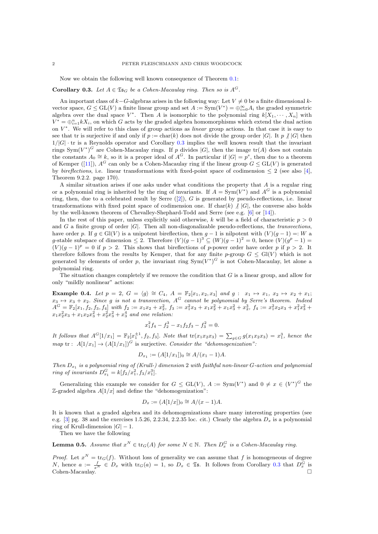Now we obtain the following well known consequence of Theorem  $0.1$ :

#### **Corollary 0.3.** Let  $A \in \mathfrak{Is}_G$  be a Cohen-Macaulay ring. Then so is  $A^G$ .

<span id="page-2-0"></span>An important class of  $k-G$ -algebras arises in the following way: Let  $V \neq 0$  be a finite dimensional kvector space,  $G \le GL(V)$  a finite linear group and set  $A := Sym(V^*) = \bigoplus_{i=0}^{\infty} A_i$  the graded symmetric algebra over the dual space  $V^*$ . Then A is isomorphic to the polynomial ring  $k[X_1, \dots, X_n]$  with  $V^* = \bigoplus_{i=1}^n kX_i$ , on which G acts by the graded algebra homomorphisms which extend the dual action on  $V^*$ . We will refer to this class of group actions as *linear* group actions. In that case it is easy to see that tr is surjective if and only if  $p := \text{char}(k)$  does not divide the group order |G|. It p  $\chi$  |G| then  $1/|G|$  · tr is a Reynolds operator and Corollary [0.3](#page-1-0) implies the well known result that the invariant rings  $Sym(V^*)^G$  are Cohen-Macaulay rings. If p divides  $|G|$ , then the image  $tr(A)$  does not contain the constants  $A_0 \cong k$ , so it is a proper ideal of  $A^G$ . In particular if  $|G| = p^s$ , then due to a theorem ofKemper ([\[11\]](#page-22-5)),  $A^G$  can only be a Cohen-Macaulay ring if the linear group  $G \leq GL(V)$  is generated by *bireflections*, i.e. linear transformations with fixed-point space of codimension  $\leq 2$  (see also [\[4\]](#page-22-6), Theorem 9.2.2. page 170).

A similar situation arises if one asks under what conditions the property that A is a regular ring or a polynomial ring is inherited by the ring of invariants. If  $A = Sym(V^*)$  and  $A^G$  is a polynomial ring,then, due to a celebrated result by Serre  $([2])$  $([2])$  $([2])$ , G is generated by pseudo-reflections, i.e. linear transformations with fixed point space of codimension one. If  $char(k) \nmid |G|$ , the converse also holds by the well-known theorem of Chevalley-Shephard-Todd and Serre (see e.g. [\[6\]](#page-22-8) or [\[14\]](#page-22-9)).

<span id="page-2-2"></span>In the rest of this paper, unless explicitly said otherwise, k will be a field of characteristic  $p > 0$ and G a finite group of order  $|G|$ . Then all non-diagonalizable pseudo-reflections, the *transvections*, have order p. If  $g \in Gl(V)$  is a unipotent bireflection, then  $g - 1$  is nilpotent with  $(V)(g - 1) =: W$  a g-stable subspace of dimension  $\leq 2$ . Therefore  $(V)(g-1)^3 \subseteq (W)(g-1)^2 = 0$ , hence  $(V)(g^p - 1) =$  $(V)(g-1)^p = 0$  if  $p > 2$ . This shows that bireflections of p-power order have order p if  $p > 2$ . It therefore follows from the results by Kemper, that for any finite p-group  $G \leq Gl(V)$  which is not generated by elements of order p, the invariant ring  $Sym(V^*)^G$  is not Cohen-Macaulay, let alone a polynomial ring.

The situation changes completely if we remove the condition that  $G$  is a linear group, and allow for only "mildly nonlinear" actions:

<span id="page-2-3"></span>Example 0.4. Let  $p = 2$ ,  $G = \langle g \rangle \cong C_4$ ,  $A = \mathbb{F}_2[x_1, x_2, x_3]$  and  $g : x_1 \mapsto x_1, x_2 \mapsto x_2 + x_1;$  $x_3 \mapsto x_3 + x_2$ . Since g is not a transvection,  $A^G$  cannot be polynomial by Serre's theorem. Indeed  $A^G = \mathbb{F}_2[x_1, f_2, f_3, f_4]$  with  $f_2 := x_1x_2 + x_2^2$ ,  $f_3 := x_1^2x_3 + x_1x_2^2 + x_1x_3^2 + x_2^3$ ,  $f_4 := x_1^2x_2x_3 + x_1^2x_3^2 + x_2^3$  $x_1x_2^2x_3 + x_1x_2x_3^2 + x_2^2x_3^2 + x_3^4$  and one relation:

$$
x_1^2 f_4 - f_2^3 - x_1 f_2 f_3 - f_3^2 = 0.
$$

It follows that  $A^{G}[1/x_{1}] = \mathbb{F}_{2}[x_{1}^{\pm 1}, f_{2}, f_{3}]$ . Note that  $tr(x_{1}x_{2}x_{3}) = \sum_{g \in G} g(x_{1}x_{2}x_{3}) = x_{1}^{3}$ , hence the map tr :  $A[1/x_1] \rightarrow (A[1/x_1])^G$  is surjective. Consider the "dehomogenization":

$$
D_{x_1} := (A[1/x_1])_0 \cong A/(x_1 - 1)A
$$

Then  $D_{x_1}$  is a polynomial ring of (Krull-) dimension 2 with faithful non-linear G-action and polynomial ring of invariants  $D_{x_1}^G = k[f_2/x_1^2, f_3/x_1^3]$ .

Generalizing this example we consider for  $G \leq GL(V)$ ,  $A := Sym(V^*)$  and  $0 \neq x \in (V^*)^G$  the  $\mathbb{Z}$ -graded algebra  $A[1/x]$  and define the "dehomogenization":

$$
D_x := (A[1/x])_0 \cong A/(x-1)A.
$$

It is known that a graded algebra and its dehomogenizations share many interesting properties (see e.g.  $[3]$  pg. 38 and the exercises 1.5.26, 2.2.34, 2.2.35 loc. cit.) Clearly the algebra  $D_x$  is a polynomial ring of Krull-dimension  $|G| - 1$ .

Then we have the following

**Lemma 0.5.** Assume that  $x^N \in \text{tr}_G(A)$  for some  $N \in \mathbb{N}$ . Then  $D_x^G$  is a Cohen-Macaulay ring.

<span id="page-2-1"></span>*Proof.* Let  $x^N = \text{tr}_G(f)$ . Without loss of generality we can assume that f is homogeneous of degree N, hence  $a := \frac{f}{x^N} \in D_x$  with  $\text{tr}_G(a) = 1$ , so  $D_x \in \mathfrak{Is}$ . It follows from Corollary [0.3](#page-1-0) that  $D_x^G$  is Cohen-Macaulay. □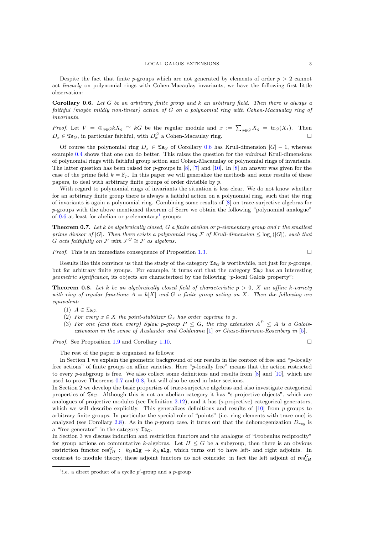Despite the fact that finite p-groups which are not generated by elements of order  $p > 2$  cannot act linearly on polynomial rings with Cohen-Macaulay invariants, we have the following first little observation:

**Corollary 0.6.** Let G be an arbitrary finite group and k an arbitrary field. Then there is always a faithful (maybe mildly non-linear) action of G on a polynomial ring with Cohen-Macaualay ring of invariants.

*Proof.* Let  $V = \bigoplus_{g \in G} kX_g \cong kG$  be the regular module and  $x := \sum_{g \in G} X_g = \text{tr}_G(X_1)$ . Then  $D_x \in \mathfrak{Ts}_G$ , in particular faithful, with  $D_x^G$  a Cohen-Macaulay ring.

Of course the polynomial ring  $D_x \in \mathfrak{Is}_G$  of Corollary [0.6](#page-2-0) has Krull-dimension  $|G| - 1$ , whereas example [0.4](#page-1-1) shows that one can do better. This raises the question for the minimal Krull-dimensions of polynomial rings with faithful group action and Cohen-Macaualay or polynomial rings of invariants. The latter question has been raised for  $p$ -groups in [\[8\]](#page-22-0), [\[7\]](#page-22-1) and [\[10\]](#page-22-10). In [8] an answer was given for the case of the prime field  $k = \mathbb{F}_p$ . In this paper we will generalize the methods and some results of these papers, to deal with arbitrary finite groups of order divisible by p.

With regard to polynomial rings of invariants the situation is less clear. We do not know whether for an arbitrary finite group there is always a faithful action on a polynomial ring, such that the ring of invariants is again a polynomial ring. Combining some results of [\[8\]](#page-22-0) on trace-surjective algebras for p-groups with the above mentioned theorem of Serre we obtain the following "polynomial analogue" of  $0.6$  at least for abelian or *p*-elementary<sup>[1](#page-2-1)</sup> groups:

**Theorem 0.7.** Let k be algebraically closed, G a finite abelian or p-elementary group and r the smallest prime divisor of  $|G|$ . Then there exists a polynomial ring F of Krull-dimension  $\leq \log_r(|G|)$ , such that G acts faithfully on  $\mathcal{F}$  with  $\mathcal{F}^G \cong \mathcal{F}$  as algebras.

*Proof.* This is an immediate consequence of Proposition [1.3.](#page-4-0)

Results like this convince us that the study of the category  $\mathfrak{Is}_{G}$  is worthwhile, not just for p-groups, but for arbitrary finite groups. For example, it turns out that the category  $\mathfrak{Is}_G$  has an interesting geometric significance, its objects are characterized by the following "p-local Galois property":

**Theorem 0.8.** Let k be an algebraically closed field of characteristic  $p > 0$ , X an affine k-variety with ring of regular functions  $A = k[X]$  and G a finite group acting on X. Then the following are equivalent:

- (1)  $A \in \mathfrak{Ts}_G$ .
- (2) For every  $x \in X$  the point-stabilizer  $G_x$  has order coprime to p.
- (3) For one (and then every) Sylow p-group  $P \leq G$ , the ring extension  $A^P \leq A$  is a Galoisextension in the sense of Auslander and Goldmann [\[1\]](#page-22-11) or Chase-Harrison-Rosenberg in [\[5\]](#page-22-12).

*Proof.* See Proposition [1.9](#page-5-0) and Corollary [1.10.](#page-5-1) □

The rest of the paper is organized as follows:

In Section 1 we explain the geometric background of our results in the context of free and "p-locally free actions" of finite groups on affine varieties. Here "p-locally free" means that the action restricted to every p-subgroup is free. We also collect some definitions and results from  $[8]$  and  $[10]$ , which are used to prove Theorems [0.7](#page-2-2) and [0.8,](#page-2-3) but will also be used in later sections.

In Section 2 we develop the basic properties of trace-surjective algebras and also investigate categorical properties of  $\mathfrak{Is}_G$ . Although this is not an abelian category it has "s-projective objects", which are analogues of projective modules (see Definition [2.12\)](#page-9-0), and it has (s-projective) categorical generators, which we will describe explicitly. This generalizes definitions and results of  $[10]$  from p-groups to arbitrary finite groups. In particular the special role of "points" (i.e. ring elements with trace one) is analyzed (see Corollary [2.8\)](#page-8-0). As in the p-group case, it turns out that the dehomogenization  $D_{reg}$  is a "free generator" in the category  $\mathfrak{Is}_G$ .

<span id="page-3-0"></span>In Section 3 we discuss induction and restriction functors and the analogue of "Frobenius reciprocity" for group actions on commutative k-algebras. Let  $H \leq G$  be a subgroup, then there is an obvious restriction functor  $res_{\downarrow H}^G: k_G \text{alg} \to k_H \text{alg}$ , which turns out to have left- and right adjoints. In contrast to module theory, these adjoint functors do not coincide: in fact the left adjoint of  $res_{\downarrow H}^G$ 

<sup>&</sup>lt;sup>1</sup>i.e. a direct product of a cyclic  $p'$ -group and a  $p$ -group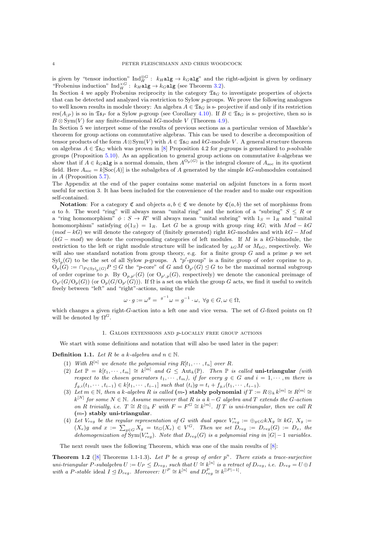is given by "tensor induction"  $\text{Ind}_{H}^{\otimes G}: k_H \text{alg} \to k_G \text{alg}$ " and the right-adjoint is given by ordinary "Frobenius induction"  $\text{Ind}_{H}^{\times G}: k_H \text{alg} \to k_G \text{alg}$  (see Theorem [3.2\)](#page-12-0).

In Section 4 we apply Frobenius reciprocity in the category  $\mathfrak{Is}_G$  to investigate properties of objects that can be detected and analyzed via restriction to Sylow  $p$ -groups. We prove the following analogues to well known results in module theory: An algebra  $A \in \mathfrak{Ts}_G$  is s- projective if and only if its restriction res( $A_{|P}$ ) is so in  $\mathfrak{I}_{\mathfrak{sp}}$  for a Sylow p-group (see Corollary [4.10\)](#page-16-0). If  $B \in \mathfrak{I}_{\mathfrak{so}}$  is s- projective, then so is  $B \otimes \text{Sym}(V)$  for any finite-dimensional kG-module V (Theorem [4.9\)](#page-15-0).

<span id="page-4-0"></span>In Section 5 we interpret some of the results of previous sections as a particular version of Maschke's theorem for group actions on commutative algebras. This can be used to describe a decomposition of tensor products of the form  $A \otimes Sym(V)$  with  $A \in \mathfrak{Ts}_G$  and kG-module V. A general structure theorem on algebras  $A \in \mathfrak{TS}_G$  which was proven in [\[8\]](#page-22-0) Proposition 4.2 for p-groups is generalized to p-solvable groups (Proposition [5.10\)](#page-18-0). As an application to general group actions on commutative k-algebras we show that if  $A \in k_G$  algebra is a normal domain, then  $A^{O_p(G)}$  is the integral closure of  $A_{\text{soc}}$  in its quotient field. Here  $A_{\text{soc}} = k[\text{Soc}(A)]$  is the subalgebra of A generated by the simple kG-submodules contained in  $A$  (Proposition [5.7\)](#page-18-1).

The Appendix at the end of the paper contains some material on adjoint functors in a form most useful for section 3. It has been included for the convenience of the reader and to make our exposition self-contained.

**Notation:** For a category  $\mathfrak{C}$  and objects  $a, b \in \mathfrak{C}$  we denote by  $\mathfrak{C}(a, b)$  the set of morphisms from a to b. The word "ring" will always mean "unital ring" and the notion of a "subring"  $S \leq R$  or a "ring homomorphism"  $\phi : S \to R$ " will always mean "unital subring" with  $1_S = 1_R$  and "unital homomorphism" satisfying  $\phi(1_S) = 1_R$ . Let G be a group with group ring kG; with Mod – kG  $(mod -kG)$  we will denote the category of (finitely generated) right kG-modules and with  $kG-Mod$  $(kG - mod)$  we denote the corresponding categories of left modules. If M is a kG-bimodule, the restriction to the left or right module structure will be indicated by  $_{k}G M$  or  $M_{k}G$ , respectively. We will also use standard notation from group theory, e.g. for a finite group  $G$  and a prime  $p$  we set  $\text{Syl}_p(G)$  to be the set of all Sylow p-groups. A "p'-group" is a finite group of order coprime to p,  $O_p(G) := \bigcap_{P \in Syl_p(G)} P \trianglelefteq G$  the "p-core" of G and  $O_{p'}(G) \trianglelefteq G$  to be the maximal normal subgroup of order coprime to p. By  $O_{p,p'}(G)$  (or  $O_{p',p}(G)$ , respectively) we denote the canonical preimage of  $O_{p'}(G/O_p(G))$  (or  $O_p(G/O_{p'}(G))$ ). If  $\Omega$  is a set on which the group G acts, we find it useful to switch freely between "left" and "right"-actions, using the rule

<span id="page-4-1"></span>
$$
\omega \cdot g := \omega^g = \left( \begin{smallmatrix} g^{-1} & \cdots & g^{-1} \end{smallmatrix} \right) \cdot \omega, \ \forall g \in G, \omega \in \Omega,
$$

<span id="page-4-2"></span>which changes a given right-G-action into a left one and vice versa. The set of G-fixed points on Ω will be denoted by  $\Omega^G$ .

#### 1. Galois extensions and p-locally free group actions

We start with some definitions and notation that will also be used later in the paper:

<span id="page-4-3"></span>**Definition 1.1.** Let R be a k-algebra and  $n \in \mathbb{N}$ .

- (1) With  $R^{[n]}$  we denote the polynomial ring  $R[t_1, \dots, t_n]$  over R.
- (2) Let  $\mathbb{P} = k[t_1, \dots, t_m] \cong k^{[m]}$  and  $G \leq \text{Aut}_k(\mathbb{P})$ . Then  $\mathbb{P}$  is called uni-triangular (with respect to the chosen generators  $t_1, \dots, t_m$ , if for every  $g \in G$  and  $i = 1, \dots, m$  there is  $f_{g,i}(t_1, \dots, t_{i-1}) \in k[t_1, \dots, t_{i-1}]$  such that  $(t_i)g = t_i + f_{g,i}(t_1, \dots, t_{i-1}).$
- (3) Let  $m \in \mathbb{N}$ , then a k-algebra R is called  $(m-)$  stably polynomial if  $T := R \otimes_k k^{[m]} \cong R^{[m]} \cong$  $k^{[N]}$  for some  $N \in \mathbb{N}$ . Assume moreover that R is a  $k-G$  algebra and T extends the G-action on R trivially, i.e.  $T \cong R \otimes_k F$  with  $F = F^G \cong k^{[m]}$ . If T is uni-triangular, then we call R  $(m-)$  stably uni-triangular.
- (4) Let  $V_{reg}$  be the regular representation of G with dual space  $V_{reg}^* := \bigoplus_{g \in G} kX_g \cong kG$ ,  $X_g :=$  $(X_e)g$  and  $x := \sum_{g \in G} X_g = \text{tr}_G(X_e) \in V^G$ . Then we set  $D_{reg} := D_{reg}(G) := D_x$ , the dehomogenization of  $Sym(V_{reg}^*)$ . Note that  $D_{reg}(G)$  is a polynomial ring in  $|G|-1$  variables.

<span id="page-4-4"></span>The next result uses the following Theorem, which was one of the main results of [\[8\]](#page-22-0):

**Theorem 1.2** ([\[8\]](#page-22-0) Theorems 1.1-1.3). Let P be a group of order  $p^n$ . There exists a trace-surjective uni-triangular P-subalgebra  $U:=U_P\leq D_{reg},$  such that  $U\cong k^{[n]}$  is a retract of  $D_{reg},$  i.e.  $D_{reg}=U\oplus D_{reg}$ with a P-stable ideal  $I \leq D_{reg}$ . Moreover:  $U^P \cong k^{[n]}$  and  $D_{reg}^P \cong k^{[P|-1]}$ .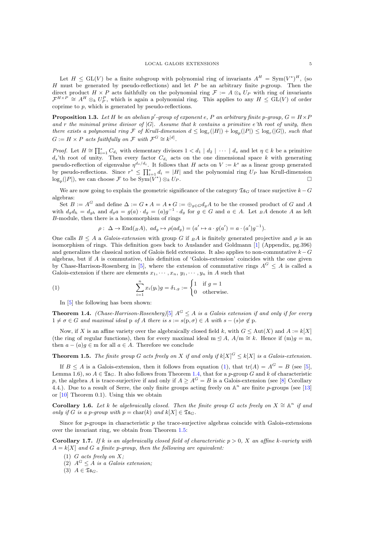Let  $H \leq GL(V)$  be a finite subgroup with polynomial ring of invariants  $A^H = Sym(V^*)^H$ , (so H must be generated by pseudo-reflections) and let P be an arbitrary finite p-group. Then the direct product H × P acts faithfully on the polynomial ring  $\mathcal{F} := A \otimes_k U_P$  with ring of invariants  $\mathcal{F}^{H\times P} \cong A^H\otimes_k U_P^P$ , which is again a polynomial ring. This applies to any  $H \leq GL(V)$  of order coprime to  $p$ , which is generated by pseudo-reflections.

**Proposition 1.3.** Let H be an abelian  $p'$ -group of exponent e, P an arbitrary finite p-group,  $G = H \times F$ and r the minimal prime divisor of  $|G|$ . Assume that k contains a primitive e'th root of unity, then there exists a polynomial ring F of Krull-dimension  $d \leq \log_r(|H|) + \log_p(|P|) \leq \log_r(|G|)$ , such that  $G := H \times P$  acts faithfully on F with  $\mathcal{F}^G \cong k^{[d]}$ .

*Proof.* Let  $H \cong \prod_{i=1}^s C_{d_i}$  with elementary divisors  $1 < d_1 | d_2 | \cdots | d_s$  and let  $\eta \in k$  be a primitive  $d_s$ 'th root of unity. Then every factor  $C_{d_i}$  acts on the one dimensional space k with generating pseudo-reflection of eigenvalue  $\eta^{d_s/d_i}$ . It follows that H acts on  $V := k^s$  as a linear group generated by pseudo-reflections. Since  $r^s \leq \prod_{i=1}^s d_i = |H|$  and the polynomial ring  $U_P$  has Krull-dimension  $\log_p(|P|)$ , we can choose F to be  $\text{Sym}(V^*) \otimes_k U_P$ .

We are now going to explain the geometric significance of the category  $\mathfrak{Is}_{G}$  of trace surjective  $k-G$ algebras:

Set  $B := A^G$  and define  $\Delta := G \star A = A \star G := \bigoplus_{g \in G} d_g A$  to be the crossed product of G and A with  $d_g d_h = d_{gh}$  and  $d_g a = g(a) \cdot d_g = (a)g^{-1} \cdot d_g$  for  $g \in G$  and  $a \in A$ . Let  $_B A$  denote A as left B-module, then there is a homomorphism of rings

$$
\rho: \ \Delta \to \mathrm{End}(\mathfrak{g} A), \ ad_g \mapsto \rho(ad_g) = (a' \mapsto a \cdot g(a') = a \cdot (a')g^{-1}).
$$

One calls  $B \leq A$  a *Galois-extension* with group G if  $_B A$  is finitely generated projective and  $\rho$  is an isomorphism of rings. This definition goes back to Auslander and Goldmann [\[1\]](#page-22-11) (Appendix, pg.396) and generalizes the classical notion of Galois field extensions. It also applies to non-commutative  $k-G$ algebras, but if A is commutative, this definition of 'Galois-extension' coincides with the one given by Chase-Harrison-Rosenberg in [\[5\]](#page-22-12), where the extension of commutative rings  $A^G \leq A$  is called a Galois-extension if there are elements  $x_1, \dots, x_n, y_1, \dots, y_n$  in A such that

<span id="page-5-0"></span>(1) 
$$
\sum_{i=1}^{n} x_i(y_i)g = \delta_{1,g} := \begin{cases} 1 & \text{if } g = 1 \\ 0 & \text{otherwise.} \end{cases}
$$

In [\[5\]](#page-22-12) the following has been shown:

**Theorem 1.4.** (Chase-Harrison-Rosenberg)[\[5\]](#page-22-12)  $A^G \leq A$  is a Galois extension if and only if for every  $1 \neq \sigma \in G$  and maximal ideal p of A there is  $s := s(p, \sigma) \in A$  with  $s - (s)\sigma \notin p$ .

Now, if X is an affine variety over the algebraically closed field k, with  $G \leq Aut(X)$  and  $A := k[X]$ (the ring of regular functions), then for every maximal ideal m  $\leq A$ ,  $A/m \cong k$ . Hence if  $(m)g = m$ , then  $a - (a)q \in m$  for all  $a \in A$ . Therefore we conclude

**Theorem 1.5.** The finite group G acts freely on X if and only if  $k[X]^G \leq k[X]$  is a Galois-extension.

<span id="page-5-1"></span>If  $B \le A$  is a Galois-extension, then it follows from equation [\(1\)](#page-4-1), that  $tr(A) = A^G = B$  (see [\[5\]](#page-22-12), Lemma 1.6), so  $A \in \mathfrak{TS}_G$ . It also follows from Theorem [1.4,](#page-4-2) that for a p-group G and k of characteristic p, the algebra A is trace-surjective if and only if  $A \ge A^G = B$  is a Galois-extension (see [\[8\]](#page-22-0) Corollary 4.4.). Due to a result of Serre, the only finite groups acting freely on  $\mathbb{A}^n$  are finite p-groups (see [\[13\]](#page-22-13) or [\[10\]](#page-22-10) Theorem 0.1). Using this we obtain

**Corollary 1.6.** Let k be algebraically closed. Then the finite group G acts freely on  $X \cong \mathbb{A}^n$  if and only if G is a p-group with  $p = \text{char}(k)$  and  $k[X] \in \mathfrak{Is}_G$ .

Since for  $p$ -groups in characteristic  $p$  the trace-surjective algebras coincide with Galois-extensions over the invariant ring, we obtain from Theorem [1.5:](#page-4-3)

**Corollary 1.7.** If k is an algebraically closed field of characteristic  $p > 0$ , X an affine k-variety with  $A = k[X]$  and G a finite p-group, then the following are equivalent:

- (1)  $G$  acts freely on  $X$ ;
- <span id="page-5-2"></span>(2)  $A^G \leq A$  is a Galois extension;
- (3)  $A \in \mathfrak{Is}_G$ .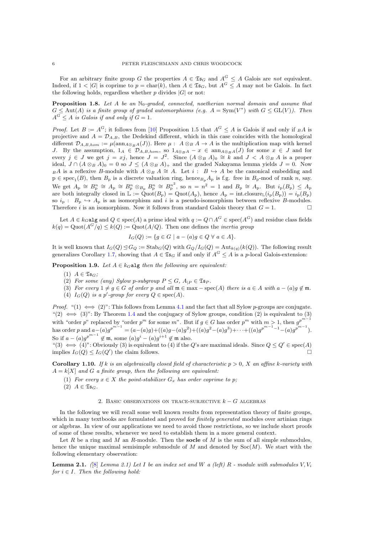For an arbitrary finite group G the properties  $A \in \mathfrak{Is}_G$  and  $A^G \leq A$  Galois are not equivalent. Indeed, if  $1 < |G|$  is coprime to  $p = \text{char}(k)$ , then  $A \in \mathfrak{Is}_G$ , but  $A^G \leq A$  may not be Galois. In fact the following holds, regardless whether  $p$  divides  $|G|$  or not:

**Proposition 1.8.** Let A be an  $\mathbb{N}_0$ -graded, connected, noetherian normal domain and assume that  $G \leq \text{Aut}(A)$  is a finite group of graded automorphisms (e.g.  $A = \text{Sym}(V^*)$  with  $G \leq \text{GL}(V)$ ). Then  $A^G \leq A$  is Galois if and only if  $G = 1$ .

*Proof.* Let  $B := A^G$ ; it follows from [\[10\]](#page-22-10) Proposition 1.5 that  $A^G \leq A$  is Galois if and only if  $_B A$  is projective and  $A = D_{A,B}$ , the Dedekind different, which in this case coincides with the homological different  $\mathcal{D}_{A,B,hom} := \mu(\text{ann}_{A\otimes_B A}(J))$ . Here  $\mu : A \otimes_B A \to A$  is the multiplication map with kernel J. By the assumption,  $1_A \in \mathcal{D}_{A,B,hom}$ , so  $1_{A\otimes_B A} - x \in \text{ann}_{A\otimes_B A}(J)$  for some  $x \in J$  and for every  $j \in J$  we get  $j = xj$ , hence  $J = J^2$ . Since  $(A \otimes_B A)_0 \cong K$  and  $J \prec A \otimes_B A$  is a proper ideal,  $J \cap (A \otimes_B A)_0 = 0$  so  $J \leq (A \otimes_B A)_+$  and the graded Nakayama lemma yields  $J = 0$ . Now  $BA$  is a reflexive B-module with  $A \otimes_B A \cong A$ . Let  $i : B \hookrightarrow A$  be the canonical embedding and  $p \in \text{spec}_1(B)$ , then  $B_p$  is a discrete valuation ring, hence $B_pA_p$  is f.g. free in  $B_p$ -mod of rank n, say. We get  $A_{\rm p} \cong B_{\rm p}^n \cong A_{\rm p} \cong B_{\rm p}^n \otimes_{B_{\rm p}} B_{\rm p}^n \cong B_{\rm p}^{n^2}$ , so  $n = n^2 = 1$  and  $B_{\rm p} \cong A_{\rm p}$ . But  $i_{\rm p}(B_{\rm p}) \le A_{\rm p}$ are both integrally closed in  $\mathbb{L} := \text{Quot}(B_{\text{p}}) = \text{Quot}(A_{\text{p}})$ , hence  $A_{\text{p}} = \text{int.close}(i_{\text{p}}(B_{\text{p}})) = i_{\text{p}}(B_{\text{p}})$ so  $i_p$ :  $B_p \leftrightarrow A_p$  is an isomorphism and i is a pseudo-isomorphism between reflexive B-modules. Therefore *i* is an isomorphism. Now it follows from standard Galois theory that  $G = 1$ .

<span id="page-6-0"></span>Let  $A \in k_G$ alg and  $Q \in \text{spec}(A)$  a prime ideal with  $q := Q \cap A^G \in \text{spec}(A^G)$  and residue class fields  $k(q) = \text{Quot}(A^G/q) \leq k(Q) := \text{Quot}(A/Q)$ . Then one defines the *inertia group* 

$$
I_G(Q) := \{ g \in G \mid a - (a)g \in Q \ \forall \ a \in A \}.
$$

It is well known that  $I_G(Q) \trianglelefteq G_Q := \text{Stab}_G(Q)$  with  $G_Q/I_G(Q) = \text{Aut}_{k(q)}(k(Q))$ . The following result generalizes Corollary [1.7,](#page-4-4) showing that  $A \in \mathfrak{Ts}_G$  if and only if  $A^G \leq A$  is a p-local Galois-extension:

**Proposition 1.9.** Let  $A \in k_G$  algebthen the following are equivalent:

- (1)  $A \in \mathfrak{Ts}_G$ ;
- (2) For some (any) Sylow p-subgroup  $P \leq G$ ,  $A_{|P} \in \mathfrak{S}_{P}$ .
- (3) For every  $1 \neq g \in G$  of order p and all  $\mathfrak{m} \in \max \text{spec}(A)$  there is  $a \in A$  with  $a (a)g \notin \mathfrak{m}$ .
- (4)  $I_G(Q)$  is a p'-group for every  $Q \in \text{spec}(A)$ .

*Proof.* "(1)  $\iff$  (2)": This follows from Lemma [4.1](#page-14-0) and the fact that all Sylow p-groups are conjugate. "(2)  $\iff$  (3)": By Theorem [1.4](#page-4-2) and the conjugacy of Sylow groups, condition (2) is equivalent to (3) with "order p" replaced by "order  $p^m$  for some m". But if  $g \in G$  has order  $p^m$  with  $m > 1$ , then  $g^{p^{m-1}}$ has order p and  $a-(a)g^{p^{m-1}} = (a-(a)g)+((a)g-(a)g^2)+((a)g^2-(a)g^3)+\cdots+((a)g^{p^{m-1}-1}-(a)g^{p^{m-1}})$ . So if  $a - (a)g^{p^{m-1}} \notin \mathfrak{m}$ , some  $(a)g^{i} - (a)g^{i+1} \notin \mathfrak{m}$  also.

"(3)  $\iff$  (4)": Obviously (3) is equivalent to (4) if the Q's are maximal ideals. Since  $Q \leq Q' \in \text{spec}(A)$ implies  $I_G(Q) \leq I_G(Q')$  the claim follows.

<span id="page-6-1"></span>**Corollary 1.10.** If k is an algebraically closed field of characteristic  $p > 0$ , X an affine k-variety with  $A = k[X]$  and G a finite group, then the following are equivalent:

- (1) For every  $x \in X$  the point-stabilizer  $G_x$  has order coprime to p;
- (2)  $A \in \mathfrak{Ts}_G$ .

#### 2. BASIC OBSERVATIONS ON TRACE-SURJECTIVE  $k - G$  algebras

In the following we will recall some well known results from representation theory of finite groups, which in many textbooks are formulated and proved for *finitely generated* modules over artinian rings or algebras. In view of our applications we need to avoid those restrictions, so we include short proofs of some of these results, whenever we need to establish them in a more general context.

Let R be a ring and M an R-module. Then the **socle** of M is the sum of all simple submodules, hence the unique maximal semisimple submodule of  $M$  and denoted by  $Soc(M)$ . We start with the following elementary observation:

**Lemma 2.1.** ([\[8\]](#page-22-0) Lemma 2.1] Let I be an index set and W a (left) R - module with submodules V, V<sub>i</sub> for  $i \in I$ . Then the following hold: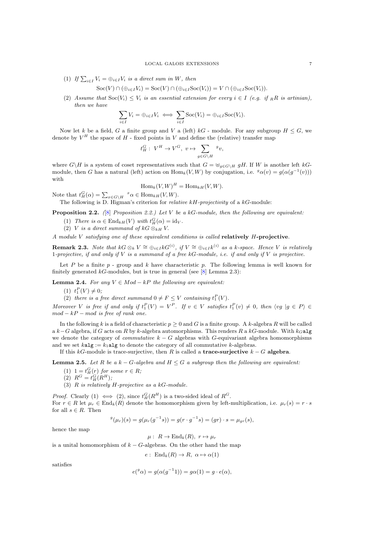(1) If  $\sum_{i \in I} V_i = \bigoplus_{i \in I} V_i$  is a direct sum in W, then

$$
Soc(V) \cap (\oplus_{i \in I} V_i) = Soc(V) \cap (\oplus_{i \in I} Soc(V_i)) = V \cap (\oplus_{i \in I} Soc(V_i)).
$$

(2) Assume that  $Soc(V_i) \leq V_i$  is an essential extension for every  $i \in I$  (e.g. if RR is artinian), then we have

$$
\sum_{i \in I} V_i = \bigoplus_{i \in I} V_i \iff \sum_{i \in I} \text{Soc}(V_i) = \bigoplus_{i \in I} \text{Soc}(V_i).
$$

Now let k be a field, G a finite group and V a (left) kG - module. For any subgroup  $H \leq G$ , we denote by  $V^H$  the space of  $H$  - fixed points in V and define the (relative) transfer map

$$
t^G_H:\; V^H\to V^G,\; v\mapsto \sum_{g\in G\backslash H} {}^g v,
$$

where  $G\backslash H$  is a system of coset representatives such that  $G = \bigcup_{g \in G\backslash H} gH$ . If W is another left kGmodule, then G has a natural (left) action on  $\text{Hom}_k(V, W)$  by conjugation, i.e.  $^g\alpha(v) = g(\alpha(g^{-1}(v)))$ with

$$
\operatorname{Hom}_k(V, W)^H = \operatorname{Hom}_{kH}(V, W).
$$

Note that  $t_H^G(\alpha) = \sum_{x \in G \backslash H} x \alpha \in \text{Hom}_{kH}(V, W)$ .

The following is D. Higman's criterion for *relative kH-projectivity* of a  $kG$ -module:

**Proposition 2.2.** ([\[8\]](#page-22-0) Proposition 2.2.) Let V be a kG-module, then the following are equivalent:

- (1) There is  $\alpha \in \text{End}_{kH}(V)$  with  $t_H^G(\alpha) = \text{id}_V$ .
- (2) V is a direct summand of kG  $\otimes_{kH} V$ .

A module V satisfying one of these equivalent conditions is called relatively H-projective.

**Remark 2.3.** Note that  $kG \otimes_k V \cong \bigoplus_{i \in I} kG^{(i)}$ , if  $V \cong \bigoplus_{i \in I} k^{(i)}$  as a k-space. Hence V is relatively 1-projective, if and only if V is a summand of a free  $kG$ -module, i.e. if and only if V is projective.

Let P be a finite  $p$  - group and k have characteristic p. The following lemma is well known for finitely generated  $k$ G-modules, but is true in general (see  $[8]$  Lemma 2.3):

**Lemma 2.4.** For any  $V \in Mod - kP$  the following are equivalent:

(1)  $t_1^P(V) \neq 0;$ 

(2) there is a free direct summand  $0 \neq F \leq V$  containing  $t_1^P(V)$ .

Moreover V is free if and only if  $t_1^P(V) = V^P$ . If  $v \in V$  satisfies  $t_1^P(v) \neq 0$ , then  $\langle v g | g \in P \rangle \in$  $mod - kP - mod$  is free of rank one.

In the following k is a field of characteristic  $p \geq 0$  and G is a finite group. A k-algebra R will be called a  $k-G$  algebra, if G acts on R by k-algebra automorphisms. This renders R a kG-module. With  $k_G$ alg we denote the category of *commutative*  $k - G$  algebras with G-equivariant algebra homomorphisms and we set  $kalg := k_1alg$  to denote the category of all commutative k-algebras.

If this kG-module is trace-surjective, then R is called a **trace-surjective**  $k - G$  algebra.

**Lemma 2.5.** Let R be a  $k - G$ -algebra and  $H \leq G$  a subgroup then the following are equivalent:

- (1)  $1 = t_H^G(r)$  for some  $r \in R$ ;
- (2)  $R^G = t^G_H(R^H);$
- (3)  $R$  is relatively  $H$ -projective as a kG-module.

<span id="page-7-0"></span>*Proof.* Clearly (1)  $\iff$  (2), since  $t_H^G(R^H)$  is a two-sided ideal of  $R^G$ . For  $r \in R$  let  $\mu_r \in \text{End}_k(R)$  denote the homomorphism given by left-multiplication, i.e.  $\mu_r(s) = r \cdot s$ for all  $s \in R$ . Then

$$
g(\mu_r)(s) = g(\mu_r(g^{-1}s)) = g(r \cdot g^{-1}s) = (gr) \cdot s = \mu_{gr}(s),
$$

hence the map

 $\mu: R \to \text{End}_k(R), r \mapsto \mu_r$ 

is a unital homomorphism of  $k - G$ -algebras. On the other hand the map

 $e: \operatorname{End}_k(R) \to R, \ \alpha \mapsto \alpha(1)$ 

satisfies

$$
e({}^g\alpha) = g(\alpha(g^{-1}1)) = g\alpha(1) = g \cdot e(\alpha),
$$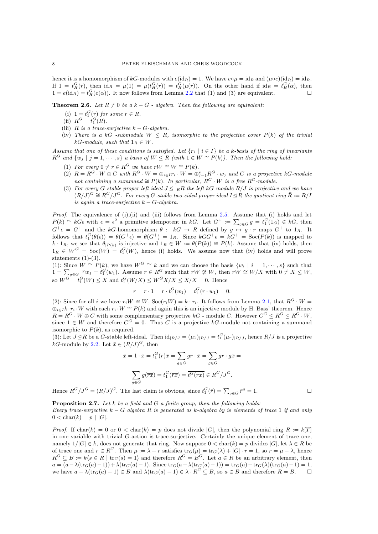hence it is a homomorphism of kG-modules with  $e(\mathrm{id}_R) = 1$ . We have  $e \circ \mu = \mathrm{id}_R$  and  $(\mu \circ e)(\mathrm{id}_R) = \mathrm{id}_R$ . If  $1 = t_H^G(r)$ , then  $\mathrm{id}_R = \mu(1) = \mu(t_H^G(r)) = t_H^G(\mu(r))$ . On the other hand if  $\mathrm{id}_R = t_H^G(\alpha)$ , then  $1 = e(\mathrm{id}_R) = t_H^G(e(\alpha))$ . It now follows from Lemma [2.2](#page-6-0) that (1) and (3) are equivalent.

<span id="page-8-0"></span>**Theorem 2.6.** Let  $R \neq 0$  be a  $k - G$  - algebra. Then the following are equivalent:

- (i)  $1 = t_1^G(r)$  for some  $r \in R$ .
- (ii)  $R^G = t_1^G(R)$ .
- (iii) R is a trace-surjective  $k G$ -algebra.
- (iv) There is a kG -submodule  $W \leq R$ , isomorphic to the projective cover  $P(k)$  of the trivial kG-module, such that  $1_R \in W$ .

Assume that one of these conditions is satisfied. Let  $\{r_i \mid i \in I\}$  be a k-basis of the ring of invariants  $R^G$  and  $\{w_j \mid j = 1, \cdots, s\}$  a basis of  $W \le R$  (with  $1 \in W \cong P(k)$ ). Then the following hold:

- (1) For every  $0 \neq r \in R^G$  we have  $rW \cong W \cong P(k)$ .
- (2)  $R = R^G \cdot W \oplus C$  with  $R^G \cdot W = \bigoplus_{i \in I} r_i \cdot W = \bigoplus_{j=1}^s R^G \cdot w_j$  and C is a projective kG-module not containing a summand  $\cong P(k)$ . In particular,  $R^G \cdot W$  is a free  $R^G$ -module.
- (3) For every G-stable proper left ideal  $J \subseteq {}_RR$  the left kG-module  $R/J$  is projective and we have  $(R/J)^G \cong R^G/J^G$ . For every G-stable two-sided proper ideal  $I \trianglelefteq R$  the quotient ring  $\bar{R} := R/I$ is again a trace-surjective  $k - G$ -algebra.

*Proof.* The equivalence of (i),(ii) and (iii) follows from Lemma [2.5.](#page-6-1) Assume that (i) holds and let  $P(k) \cong kG\epsilon$  with  $\epsilon = \epsilon^2$  a primitive idempotent in kG. Let  $G^+ := \sum_{g \in G} g = t_1^G(1_G) \in kG$ , then  $G^+\epsilon = G^+$  and the kG-homomorphism  $\theta : kG \to R$  defined by  $g \mapsto g \cdot r$  maps  $G^+$  to  $1_R$ . It follows that  $t_1^G(\theta(\epsilon)) = \theta(G^+\epsilon) = \theta(G^+) = 1_R$ . Since  $kGG^+\epsilon = kG^+ = \text{Soc}(P(k))$  is mapped to  $k \cdot 1_R$ , we see that  $\theta_{P(k)}$  is injective and  $1_R \in W := \theta(P(k)) \cong P(k)$ . Assume that (iv) holds, then  $1_R \in W^G = \text{Soc}(W) = t_1^G(W)$ , hence (i) holds. We assume now that (iv) holds and will prove statements  $(1)-(3)$ .

(1): Since  $W \cong P(k)$ , we have  $W^G \cong k$  and we can choose the basis  $\{w_i \mid i = 1, \dots, s\}$  such that  $1 = \sum_{g \in G} g w_1 = t_1^G(w_1)$ . Assume  $r \in R^G$  such that  $rW \not\cong W$ , then  $rW \cong W/X$  with  $0 \neq X \leq W$ , so  $W^G = t_1^G(W) \le X$  and  $t_1^G(W/X) \le W^G X/X \le X/X = 0$ . Hence

$$
r = r \cdot 1 = r \cdot t_1^G(w_1) = t_1^G(r \cdot w_1) = 0.
$$

<span id="page-8-1"></span>(2): Since for all i we have  $r_iW \cong W$ ,  $Soc(r_iW) = k \cdot r_i$ . It follows from Lemma [2.1,](#page-5-2) that  $R^G \cdot W =$  $\oplus_{i\in I} k \cdot r_i \cdot W$  with each  $r_i \cdot W \cong P(k)$  and again this is an injective module by H. Bass' theorem. Hence  $R = R^G \cdot W \oplus C$  with some complementary projective  $kG$  - module C. However  $C^G \leq R^G \leq R^G \cdot W$ , since  $1 \in W$  and therefore  $C^G = 0$ . Thus C is a projective kG-module not containing a summand isomorphic to  $P(k)$ , as required.

(3): Let  $J \trianglelefteq R$  be a G-stable left-ideal. Then  $\mathrm{id}_{R/J} = (\mu_1)_{R/J} = t_1^G(\mu_r)_{R/J}$ , hence  $R/J$  is a projective kG-module by [2.2.](#page-6-0) Let  $\bar{x} \in (R/J)^G$ , then

$$
\bar{x} = 1 \cdot \bar{x} = t_1^G(r)\bar{x} = \sum_{g \in G} gr \cdot \bar{x} = \sum_{g \in G} gr \cdot g\bar{x} =
$$

$$
\sum_{g \in G} g(\overline{rx}) = t_1^G(\overline{rx}) = \overline{t_1^G(rx)} \in R^G/J^G.
$$

Hence  $R^G/J^G = (R/J)^G$ . The last claim is obvious, since  $t_1^G(\bar{r}) = \sum_{g \in G} \bar{r}^g = \bar{1}$ .

**Proposition 2.7.** Let k be a field and G a finite group, then the following holds: Every trace-surjective  $k - G$  algebra R is generated as k-algebra by is elements of trace 1 if and only  $0 < \text{char}(k) = p | |G|.$ 

*Proof.* If  $char(k) = 0$  or  $0 < char(k) = p$  does not divide |G|, then the polynomial ring  $R := k[T]$ in one variable with trivial G-action is trace-surjective. Certainly the unique element of trace one, namely  $1/|G| \in k$ , does not generate that ring. Now suppose  $0 < \text{char}(k) = p$  divides  $|G|$ , let  $\lambda \in R$  be of trace one and  $r \in R^G$ . Then  $\mu := \lambda + r$  satisfies  $\text{tr}_G(\mu) = \text{tr}_G(\lambda) + |G| \cdot r = 1$ , so  $r = \mu - \lambda$ , hence  $R^G \subseteq B := k \langle s \in R \mid \text{tr}_G(s) = 1 \rangle$  and therefore  $R^G = B^G$ . Let  $a \in R$  be an arbitrary element, then  $a = (a - \lambda(\text{tr}_G(a)-1)) + \lambda(\text{tr}_G(a)-1)$ . Since  $\text{tr}_G(a - \lambda(\text{tr}_G(a)-1)) = \text{tr}_G(a) - \text{tr}_G(\lambda)(\text{tr}_G(a)-1) = 1$ , we have  $a - \lambda(\text{tr}_G(a) - 1) \in B$  and  $\lambda(\text{tr}_G(a) - 1) \in \lambda \cdot R^G \subseteq B$ , so  $a \in B$  and therefore  $R = B$ .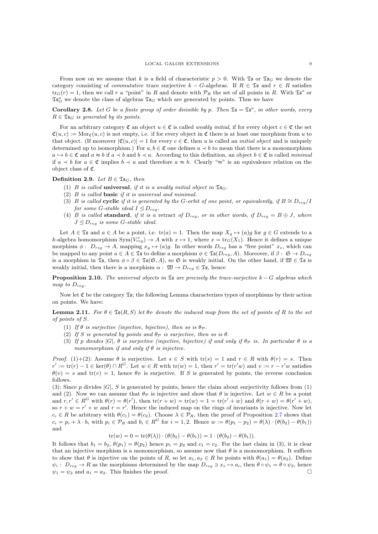From now on we assume that k is a field of characteristic  $p > 0$ . With  $\mathfrak{Is}_{G}$  we denote the category consisting of *commutative* trace surjective  $k - G$ -algebras. If  $R \in \mathfrak{S}$  and  $r \in R$  satisfies  $\text{tr}_G(r) = 1$ , then we call r a "point" in R and denote with  $\mathcal{P}_R$  the set of all points in R. With  $\mathfrak{Is}^o$  or  $\mathfrak{Is}_G^o$  we denote the class of algebras  $\mathfrak{Is}_G$  which are generated by points. Thus we have

<span id="page-9-0"></span>**Corollary 2.8.** Let G be a finite group of order divisible by p. Then  $\mathfrak{Is} = \mathfrak{Is}^o$ , in other words, every  $R \in \mathfrak{Ts}_G$  is generated by its points.

<span id="page-9-2"></span>For an arbitrary category  $\mathfrak{C}$  an object  $u \in \mathfrak{C}$  is called *weakly initial*, if for every object  $c \in \mathfrak{C}$  the set  $\mathfrak{C}(u, c) := \text{Mor}_{\mathfrak{C}}(u, c)$  is not empty, i.e. if for every object in  $\mathfrak{C}$  there is at least one morphism from u to that object. (If moreover  $|\mathfrak{C}(u, c)| = 1$  for every  $c \in \mathfrak{C}$ , then u is called an *initial object* and is uniquely determined up to isomorphism.) For  $a, b \in \mathfrak{C}$  one defines  $a \prec b$  to mean that there is a monomorphism  $a \leftrightarrow b \in \mathfrak{C}$  and  $a \approx b$  if  $a \prec b$  and  $b \prec a$ . According to this definition, an object  $b \in \mathfrak{C}$  is called minimal if  $a \lt b$  for  $a \in \mathfrak{C}$  implies  $b \lt a$  and therefore  $a \approx b$ . Clearly "≈" is an equivalence relation on the object class of C.

#### Definition 2.9. Let  $B \in \mathfrak{Ts}_G$ , then

- (1) B is called **universal**, if it is a weakly initial object in  $\mathfrak{Is}_G$ .
- (2) B is called basic if it is universal and minimal.
- (3) B is called cyclic if it is generated by the G-orbit of one point, or equivalently, if  $B \cong D_{rea}/I$ for some G-stable ideal  $I \trianglelefteq D_{req}$ .
- (4) B is called standard, if it is a retract of  $D_{reg}$ , or in other words, if  $D_{reg} = B \oplus J$ , where  $J \trianglelefteq D_{reg}$  is some G-stable ideal.

Let  $A \in \mathfrak{Ts}$  and  $a \in A$  be a point, i.e.  $\text{tr}(a) = 1$ . Then the map  $X_a \mapsto (a)g$  for  $g \in G$  extends to a *k*-algebra homomorphism  $Sym(V_{reg}^*) \to A$  with  $x \mapsto 1$ , where  $x = \text{tr}_G(X_1)$ . Hence it defines a unique morphism  $\phi: D_{reg} \to A$ , mapping  $x_g \mapsto (a)g$ . In other words  $D_{reg}$  has a "free point"  $x_e$ , which can be mapped to any point  $a \in A \in \mathfrak{Ts}$  to define a morphism  $\phi \in \mathfrak{Ts}(D_{reg}, A)$ . Moreover, if  $\beta : \mathfrak{S} \to D_{reg}$ is a morphism in  $\mathfrak{Is}$ , then  $\phi \circ \beta \in \mathfrak{Is}(\mathfrak{S}, A)$ , so  $\mathfrak{S}$  is weakly initial. On the other hand, if  $\mathfrak{W} \in \mathfrak{Is}$  is weakly initial, then there is a morphism  $\alpha: \mathfrak{W} \to D_{req} \in \mathfrak{Ts}$ , hence

**Proposition 2.10.** The universal objects in  $\mathfrak{S}_5$  are precisely the trace-surjective k – G algebras which map to  $D_{reg}$ .

Now let  $\mathfrak C$  be the category  $\mathfrak T$ s; the following Lemma characterizes types of morphisms by their action on points. We have:

**Lemma 2.11.** For  $\theta \in \mathfrak{Is}(R, S)$  let  $\theta_{\mathcal{P}}$  denote the induced map from the set of points of R to the set of points of S.

- (1) If  $\theta$  is surjective (injective, bijective), then so is  $\theta_{\mathcal{P}}$ .
- (2) If S is generated by points and  $\theta_{\mathcal{P}}$  is surjective, then so is  $\theta$ .
- (3) If p divides  $|G|$ ,  $\theta$  is surjective (injective, bijective) if and only if  $\theta_{\mathcal{P}}$  is. In particular  $\theta$  is a monomorphism if and only if  $\theta$  is injective.

*Proof.* (1)+(2): Assume  $\theta$  is surjective. Let  $s \in S$  with  $tr(s) = 1$  and  $r \in R$  with  $\theta(r) = s$ . Then  $r' := \text{tr}(r) - 1 \in \text{ker}(\theta) \cap R^G$ . Let  $w \in R$  with  $\text{tr}(w) = 1$ , then  $r' = \text{tr}(r'w)$  and  $v := r - r'w$  satisfies  $\theta(v) = s$  and tr(v) = 1, hence  $\theta_{\mathcal{P}}$  is surjective. If S is generated by points, the reverse conclusion follows.

(3): Since p divides  $|G|$ , S is generated by points, hence the claim about surjectivity follows from (1) and (2). Now we can assume that  $\theta_{\mathcal{P}}$  is injective and show that  $\theta$  is injective. Let  $w \in R$  be a point and  $r, r' \in R^G$  with  $\theta(r) = \theta(r')$ , then  $\text{tr}(r+w) = \text{tr}(w) = 1 = \text{tr}(r'+w)$  and  $\theta(r+w) = \theta(r'+w)$ , so  $r + w = r' + w$  and  $r = r'$ . Hence the induced map on the rings of invariants is injective. Now let  $c_i \in R$  be arbitrary with  $\theta(c_1) = \theta(c_2)$ . Choose  $\lambda \in \mathcal{P}_R$ , then the proof of Proposition [2.7](#page-7-0) shows that  $c_i = p_i + \lambda \cdot b_i$  with  $p_i \in \mathcal{P}_R$  and  $b_i \in R^G$  for  $i = 1, 2$ . Hence  $w := \theta(p_1 - p_2) = \theta(\lambda) \cdot (\theta(b_2) - \theta(b_1))$ and

$$
tr(w) = 0 = tr(\theta(\lambda)) \cdot (\theta(b_2) - \theta(b_1)) = 1 \cdot (\theta(b_2) - \theta(b_1)).
$$

<span id="page-9-1"></span>It follows that  $b_1 = b_2$ ,  $\theta(p_1) = \theta(p_2)$  hence  $p_1 = p_2$  and  $c_1 = c_2$ . For the last claim in (3), it is clear that an injective morphism is a monomorphism, so assume now that  $\theta$  is a monomorphism. It suffices to show that  $\theta$  is injective on the points of R, so let  $a_1, a_2 \in R$  be points with  $\theta(a_1) = \theta(a_2)$ . Define  $\psi_i : D_{reg} \to R$  as the morphisms determined by the map  $D_{reg} \ni x_e \mapsto a_i$ , then  $\theta \circ \psi_1 = \theta \circ \psi_2$ , hence  $\psi_1 = \psi_2$  and  $a_1 = a_2$ . This finishes the proof.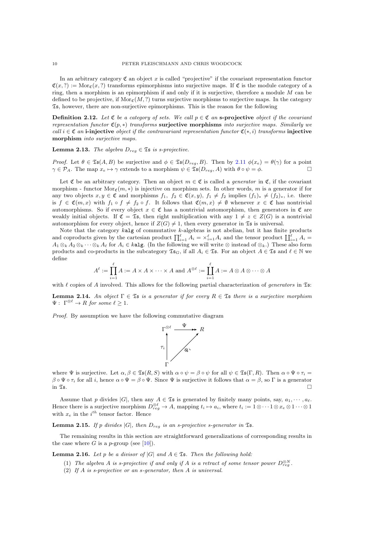In an arbitrary category  $\mathfrak C$  an object x is called "projective" if the covariant representation functor  $\mathfrak{C}(x, ?) := \text{Mor}_{\mathfrak{C}}(x, ?)$  transforms epimorphisms into surjective maps. If  $\mathfrak{C}$  is the module category of a ring, then a morphism is an epimorphism if and only if it is surjective, therefore a module  $M$  can be defined to be projective, if  $\text{Mor}_{\mathfrak{C}}(M,?)$  turns surjective morphisms to surjective maps. In the category  $\mathfrak{Ts}$ , however, there are non-surjective epimorphisms. This is the reason for the following

**Definition 2.12.** Let  $\mathfrak{C}$  be a category of sets. We call  $p \in \mathfrak{C}$  an s-projective object if the covariant representation functor  $\mathfrak{C}(p,*)$  transforms surjective morphisms into surjective maps. Similarly we call  $i \in \mathfrak{C}$  an i-injective object if the contravariant representation functor  $\mathfrak{C}(*,i)$  transforms injective morphism into surjective maps.

**Lemma 2.13.** The algebra  $D_{req} \in \mathfrak{Ts}$  is s-projective.

*Proof.* Let  $\theta \in \mathfrak{Is}(A, B)$  be surjective and  $\phi \in \mathfrak{Is}(D_{reg}, B)$ . Then by [2.11](#page-8-1)  $\phi(x_e) = \theta(\gamma)$  for a point  $\gamma \in \mathcal{P}_A$ . The map  $x_e \mapsto \gamma$  extends to a morphism  $\psi \in \mathfrak{Is}(D_{reg}, A)$  with  $\theta \circ \psi = \phi$ .

<span id="page-10-0"></span>Let  $\mathfrak C$  be an arbitrary category. Then an object  $m \in \mathfrak C$  is called a *generator* in  $\mathfrak C$ , if the covariant morphism - functor Mor<sub>c</sub> $(m, *)$  is injective on morphism sets. In other words, m is a generator if for any two objects  $x, y \in \mathfrak{C}$  and morphisms  $f_1, f_2 \in \mathfrak{C}(x, y), f_1 \neq f_2$  implies  $(f_1)_* \neq (f_2)_*$ , i.e. there is  $f \in \mathfrak{C}(m,x)$  with  $f_1 \circ f \neq f_2 \circ f$ . It follows that  $\mathfrak{C}(m,x) \neq \emptyset$  whenever  $x \in \mathfrak{C}$  has nontrivial automorphisms. So if every object  $x \in \mathfrak{C}$  has a nontrivial automorphism, then generators in  $\mathfrak{C}$  are weakly initial objects. If  $\mathfrak{C} = \mathfrak{Ts}$ , then right multiplication with any  $1 \neq z \in Z(G)$  is a nontrivial automorphism for every object, hence if  $Z(G) \neq 1$ , then every generator in  $\mathfrak{Is}$  is universal.

Note that the category  $k$ **alg** of commutative  $k$ -algebras is not abelian, but it has finite products and coproducts given by the cartesian product  $\prod_{i=1}^{\ell} A_i = \times_{i=1}^{\ell} A_i$  and the tensor product  $\prod_{i=1}^{\ell} A_i =$  $A_1 \otimes_k A_2 \otimes_k \cdots \otimes_k A_\ell$  for  $A_i \in k$ **alg.** (In the following we will write  $\otimes$  instead of  $\otimes_k$ .) These also form products and co-products in the subcategory  $\mathfrak{Is}_G$ , if all  $A_i \in \mathfrak{Is}$ . For an object  $A \in \mathfrak{Is}$  and  $\ell \in \mathbb{N}$  we define

$$
A^{\ell} := \prod_{i=1}^{\ell} A := A \times A \times \cdots \times A \text{ and } A^{\otimes \ell} := \prod_{i=1}^{\ell} A := A \otimes A \otimes \cdots \otimes A
$$

with  $\ell$  copies of A involved. This allows for the following partial characterization of *generators* in  $\mathfrak{Is}:$ 

**Lemma 2.14.** An object  $\Gamma \in \mathfrak{Ts}$  is a generator if for every  $R \in \mathfrak{Ts}$  there is a surjective morphism  $\Psi: \Gamma^{\otimes \ell} \to R$  for some  $\ell \geq 1$ .

Proof. By assumption we have the following commutative diagram



where  $\Psi$  is surjective. Let  $\alpha, \beta \in \mathfrak{Is}(R, S)$  with  $\alpha \circ \psi = \beta \circ \psi$  for all  $\psi \in \mathfrak{Is}(\Gamma, R)$ . Then  $\alpha \circ \Psi \circ \tau_i =$  $\beta \circ \Psi \circ \tau_i$  for all i, hence  $\alpha \circ \Psi = \beta \circ \Psi$ . Since  $\Psi$  is surjective it follows that  $\alpha = \beta$ , so  $\Gamma$  is a generator in  $\mathfrak{I}_5$ .

Assume that p divides |G|, then any  $A \in \mathfrak{S}_5$  is generated by finitely many points, say,  $a_1, \dots, a_\ell$ . Hence there is a surjective morphism  $D_{reg}^{\otimes \ell} \to A$ , mapping  $t_i \mapsto a_i$ , where  $t_i := 1 \otimes \cdots 1 \otimes x_e \otimes 1 \cdots \otimes 1$ with  $x_e$  in the  $i^{th}$  tensor factor. Hence

**Lemma 2.15.** If p divides  $|G|$ , then  $D_{reg}$  is an s-projective s-generator in  $\mathfrak{S}s$ .

The remaining results in this section are straightforward generalizations of corresponding results in the case where G is a p-group (see [\[10\]](#page-22-10)).

**Lemma 2.16.** Let p be a divisor of  $|G|$  and  $A \in \mathfrak{Ts}$ . Then the following hold:

- (1) The algebra A is s-projective if and only if A is a retract of some tensor power  $D_{reg}^{\otimes N}$ .
- (2) If A is s-projective or an s-generator, then A is universal.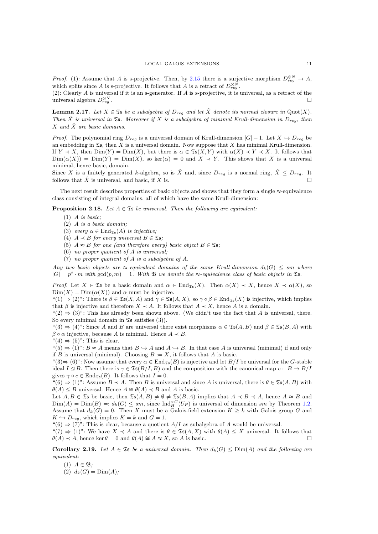*Proof.* (1): Assume that A is s-projective. Then, by [2.15](#page-9-1) there is a surjective morphism  $D_{reg}^{\otimes N} \to A$ , which splits since A is s-projective. It follows that A is a retract of  $D_{reg}^{\otimes N}$ .

(2): Clearly  $A$  is universal if it is an s-generator. If  $A$  is s-projective, it is universal, as a retract of the universal algebra  $D_{reg}^{\otimes N}$  $\mathbb{Z}^N$ reg .

**Lemma 2.17.** Let  $X \in \mathfrak{Ts}$  be a subalgebra of  $D_{reg}$  and let  $\hat{X}$  denote its normal closure in Quot(X). Then  $\hat{X}$  is universal in  $\mathfrak{S}s$ . Moreover if X is a subalgebra of minimal Krull-dimension in  $D_{reg}$ , then  $X$  and  $\hat{X}$  are basic domains.

*Proof.* The polynomial ring  $D_{reg}$  is a universal domain of Krull-dimension  $|G| - 1$ . Let  $X \hookrightarrow D_{reg}$  be an embedding in  $\mathfrak{Is},$  then X is a universal domain. Now suppose that X has minimal Krull-dimension. If  $Y \prec X$ , then  $Dim(Y) = Dim(X)$ , but there is  $\alpha \in \mathfrak{Is}(X, Y)$  with  $\alpha(X) \prec Y \prec X$ . It follows that  $\text{Dim}(\alpha(X)) = \text{Dim}(Y) = \text{Dim}(X)$ , so ker( $\alpha$ ) = 0 and  $X \prec Y$ . This shows that X is a universal minimal, hence basic, domain.

Since X is a finitely generated k-algebra, so is  $\hat{X}$  and, since  $D_{reg}$  is a normal ring,  $\hat{X} \leq D_{reg}$ . It follows that  $\hat{X}$  is universal, and basic, if X is.

The next result describes properties of basic objects and shows that they form a single  $\approx$ -equivalence class consisting of integral domains, all of which have the same Krull-dimension:

**Proposition 2.18.** Let  $A \in \mathfrak{S}$  be universal. Then the following are equivalent:

- $(1)$  A is basic;
- (2) A is a basic domain;
- (3) every  $\alpha \in \text{End}_{\mathfrak{Is}}(A)$  is injective;
- (4)  $A \prec B$  for every universal  $B \in \mathfrak{Ts}$ ;
- (5)  $A \approx B$  for one (and therefore every) basic object  $B \in \mathfrak{Ts}$ ;
- (6) no proper quotient of A is universal;
- (7) no proper quotient of A is a subalgebra of A.

Any two basic objects are  $\approx$ -equivalent domains of the same Krull-dimension  $d_k(G) \leq sm$  where  $|G| = p^s \cdot m$  with  $gcd(p, m) = 1$ . With  $\mathfrak{B}$  we denote the  $\approx$ -equivalence class of basic objects in  $\mathfrak{Is}$ .

*Proof.* Let  $X \in \mathfrak{S}$  be a basic domain and  $\alpha \in \text{End}_{\mathfrak{S}(\mathfrak{S})}(X)$ . Then  $\alpha(X) \prec X$ , hence  $X \prec \alpha(X)$ , so  $\text{Dim}(X) = \text{Dim}(\alpha(X))$  and  $\alpha$  must be injective.

 $\mathfrak{B}(1) \Rightarrow (2)$ ": There is  $\beta \in \mathfrak{Is}(X, A)$  and  $\gamma \in \mathfrak{Is}(A, X)$ , so  $\gamma \circ \beta \in \text{End}_{\mathfrak{Is}}(X)$  is injective, which implies that  $\beta$  is injective and therefore  $X \prec A$ . It follows that  $A \prec X$ , hence A is a domain.

" $(2) \Rightarrow (3)$ ": This has already been shown above. (We didn't use the fact that A is universal, there. So every minimal domain in  $\mathfrak{S}$  satisfies (3)).

 $\mathfrak{so}(3) \Rightarrow (4)$ ": Since A and B are universal there exist morphisms  $\alpha \in \mathfrak{Is}(A, B)$  and  $\beta \in \mathfrak{Is}(B, A)$  with  $\beta \circ \alpha$  injective, because A is minimal. Hence  $A \prec B$ .

 $\text{``}(4) \Rightarrow (5) \text{''}$ : This is clear.

 $\mathfrak{m}(5) \Rightarrow (1)$ ":  $B \approx A$  means that  $B \hookrightarrow A$  and  $A \hookrightarrow B$ . In that case A is universal (minimal) if and only if B is universal (minimal). Choosing  $B := X$ , it follows that A is basic.

" $(3) \Rightarrow (6)$ ": Now assume that every  $\alpha \in \text{End}_{\mathfrak{S}}(B)$  is injective and let  $B/I$  be universal for the G-stable ideal  $I \triangleleft B$ . Then there is  $\gamma \in \mathfrak{Ts}(B/I, B)$  and the composition with the canonical map  $c : B \to B/I$ gives  $\gamma \circ c \in \text{End}_{\mathfrak{Ts}}(B)$ . It follows that  $I = 0$ .

 $\mathfrak{g}(6) \Rightarrow (1)$ ": Assume  $B \prec A$ . Then B is universal and since A is universal, there is  $\theta \in \mathfrak{Is}(A, B)$  with  $\theta(A) \leq B$  universal. Hence  $A \cong \theta(A) \prec B$  and A is basic.

Let  $A, B \in \mathfrak{Is}$  be basic, then  $\mathfrak{Is}(A, B) \neq \emptyset \neq \mathfrak{Is}(B, A)$  implies that  $A \prec B \prec A$ , hence  $A \approx B$  and  $\text{Dim}(A) = \text{Dim}(B) =: d_k(G) \leq sm$ , since  $\text{Ind}_{H}^{\times G}(U_P)$  is universal of dimension sm by Theorem [1.2.](#page-3-0) Assume that  $d_k(G) = 0$ . Then X must be a Galois-field extension  $K \geq k$  with Galois group G and  $K \hookrightarrow D_{reg}$ , which implies  $K = k$  and  $G = 1$ .

 $\mathfrak{m}(6) \Rightarrow (7)$ ": This is clear, because a quotient  $A/I$  as subalgebra of A would be universal.

"(7)  $\Rightarrow$  (1)": We have  $X \prec A$  and there is  $\theta \in \mathfrak{Is}(A, X)$  with  $\theta(A) \leq X$  universal. It follows that  $\theta(A) \prec A$ , hence ker  $\theta = 0$  and  $\theta(A) \cong A \approx X$ , so A is basic.

Corollary 2.19. Let  $A \in \mathfrak{Ts}$  be a universal domain. Then  $d_k(G) \le \text{Dim}(A)$  and the following are equivalent:

- (1)  $A \in \mathfrak{B}$ :
- (2)  $d_k(G) = \text{Dim}(A);$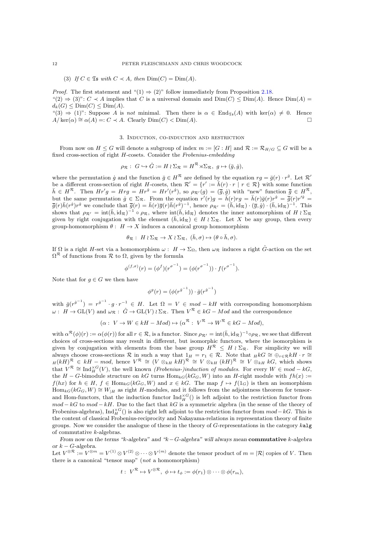(3) If  $C \in \mathfrak{Ts}$  with  $C \prec A$ , then  $Dim(C) = Dim(A)$ .

*Proof.* The first statement and " $(1) \Rightarrow (2)$ " follow immediately from Proposition [2.18.](#page-10-0) " $(2) \Rightarrow (3)$ ":  $C \prec A$  implies that C is a universal domain and  $Dim(C) \leq Dim(A)$ . Hence  $Dim(A)$  $d_k(G) \leq \text{Dim}(C) \leq \text{Dim}(A).$ 

 $\mathfrak{m}(3) \Rightarrow (1)$ ": Suppose A is not minimal. Then there is  $\alpha \in \text{End}_{\mathfrak{Is}}(A)$  with ker $(\alpha) \neq 0$ . Hence  $A/\text{ker}(\alpha) \cong \alpha(A) =: C \prec A.$  Clearly  $\text{Dim}(C) < \text{Dim}(A)$ .

#### 3. Induction, co-induction and restriction

From now on  $H \leq G$  will denote a subgroup of index  $m := [G : H]$  and  $\mathcal{R} := \mathcal{R}_{H/G} \subseteq G$  will be a fixed cross-section of right H-cosets. Consider the Frobenius-embedding

$$
\rho_{\mathcal{R}}: G \hookrightarrow \hat{G} := H \wr \Sigma_{\mathcal{R}} = H^{\mathcal{R}} \rtimes \Sigma_{\mathcal{R}}, g \mapsto (\bar{g}, \dot{g}),
$$

where the permutation  $\dot{g}$  and the function  $\bar{g} \in H^{\mathcal{R}}$  are defined by the equation  $rg = \bar{g}(r) \cdot r^{\dot{g}}$ . Let  $\mathcal{R}'$ be a different cross-section of right H-cosets, then  $\mathcal{R}' = \{r' := \bar{h}(r) \cdot r \mid r \in \mathcal{R}\}\$  with some function  $\bar{h} \in H^{\mathcal{R}}$ . Then  $Hr'g = Hrg = Hr^{\dot{g}} = Hr'(r^{\dot{g}})$ , so  $\rho_{\mathcal{R}'}(g) = (\overline{\overline{g}}, \dot{g})$  with "new" function  $\overline{\overline{g}} \in H^{\mathcal{R}}$ , but the same permutation  $\dot{g} \in \Sigma_{\mathcal{R}}$ . From the equation  $r'(r)g = \bar{h}(r)rg = \bar{h}(r)\bar{g}(r)r^{\dot{g}} = \bar{g}(r)r^{\dot{g}}$  $\bar{\bar{g}}(r)\bar{h}(r^{\dot{g}})r^{\dot{g}}$  we conclude that  $\bar{\bar{g}}(r) = \bar{h}(r)\bar{g}(r)\bar{h}(r^{\dot{g}})^{-1}$ , hence  $\rho_{\mathcal{R}'} = (\bar{h}, \text{id}_{\mathcal{R}}) \cdot (\bar{g}, \dot{g}) \cdot (\bar{h}, \text{id}_{\mathcal{R}})^{-1}$ . This shows that  $\rho_{\mathcal{R}'} = \text{int}(\bar{h}, \text{id}_{\mathcal{R}})^{-1} \circ \rho_{\mathcal{R}}$ , where  $\text{int}(\bar{h}, \text{id}_{\mathcal{R}})$  denotes the inner automorphism of  $H \wr \Sigma_{\mathcal{R}}$ given by right conjugation with the element  $(\bar{h}, id_{\mathcal{R}}) \in H \wr \Sigma_{\mathcal{R}}$ . Let X be any group, then every group-homomorphism  $\theta : H \to X$  induces a canonical group homomorphism

$$
\theta_{\mathcal{R}}:\ H\wr\Sigma_{\mathcal{R}}\to X\wr\Sigma_{\mathcal{R}},\ (\bar{h},\sigma)\mapsto(\theta\circ\bar{h},\sigma).
$$

<span id="page-12-1"></span>If  $\Omega$  is a right H-set via a homomorphism  $\omega : H \to \Sigma_{\Omega}$ , then  $\omega_{\mathcal{R}}$  induces a right  $\hat{G}$ -action on the set  $\Omega^{\mathcal{R}}$  of functions from  $\mathcal{R}$  to  $\Omega$ , given by the formula

$$
\phi^{(f,\sigma)}(r) = (\phi^f)(r^{\sigma^{-1}}) = (\phi(r^{\sigma^{-1}})) \cdot f(r^{\sigma^{-1}}).
$$

Note that for  $g \in G$  we then have

$$
\phi^g(r)=(\phi(r^{\dot{g}^{-1}}))\cdot\bar{g}(r^{\dot{g}^{-1}})
$$

<span id="page-12-0"></span>with  $\bar{g}(r^{g^{-1}}) = r^{g^{-1}} \cdot g \cdot r^{-1} \in H$ . Let  $\Omega = V \in mod - kH$  with corresponding homomorphism  $\omega: H \to GL(V)$  and  $\omega_{\mathcal{R}}: \hat{G} \to GL(V) \wr \Sigma_{\mathcal{R}}$ . Then  $V^{\mathcal{R}} \in kG - Mod$  and the correspondence

$$
(\alpha: V \to W \in kH - Mod) \mapsto (\alpha^{\mathcal{R}}: V^{\mathcal{R}} \to W^{\mathcal{R}} \in kG - Mod),
$$

with  $\alpha^{\mathcal{R}}(\phi)(r) := \alpha(\phi(r))$  for all  $r \in \mathcal{R}$ , is a functor. Since  $\rho_{\mathcal{R}'} = \text{int}(\bar{h}, \text{id}_{\mathcal{R}})^{-1} \circ \rho_{\mathcal{R}}$ , we see that different choices of cross-sections may result in different, but isomorphic functors, where the isomorphism is given by conjugation with elements from the base group  $H^R \leq H \wr \Sigma_R$ . For simplicity we will always choose cross-sections R in such a way that  $1_H = r_1 \in \mathcal{R}$ . Note that  $_HkG \cong \bigoplus_{r \in \mathcal{R}} kH \cdot r \cong$  $H(kH)^{\mathcal{R}} \in kH \text{ --} \text{mod}, \text{ hence } V^{\mathcal{R}} \cong (V \otimes_{kH} kH)^{\mathcal{R}} \cong V \otimes_{kH} (kH)^{\mathcal{R}} \cong V \otimes_{kH} kG, \text{ which shows}$ that  $V^{\mathcal{R}} \cong \text{Ind}_{H}^{\times G}(V)$ , the well known *(Frobenius-)induction of modules*. For every  $W \in mod - kG$ , the  $H - G$ -bimodule structure on kG turns  $\text{Hom}_{kG}(kG_G, W)$  into an H-right module with  $fh(x) :=$  $f(hx)$  for  $h \in H$ ,  $f \in Hom_{kG}(kG_G, W)$  and  $x \in kG$ . The map  $f \mapsto f(1_G)$  is then an isomorphism  $\text{Hom}_{kG}(kG_G, W) \cong W_{|H|}$  as right H-modules, and it follows from the adjointness theorem for tensorand Hom-functors, that the induction functor  $\text{Ind}_{H}^{\times G}(x)$  is left adjoint to the restriction functor from  $mod - kG$  to  $mod - kH$ . Due to the fact that kG is a symmetric algebra (in the sense of the theory of Frobenius-algebras), Ind<sup>×G</sup>() is also right left adjoint to the restriction functor from  $mod - kG$ . This is the content of classical Frobenius-reciprocity and Nakayama-relations in representation theory of finite groups. Now we consider the analogue of these in the theory of G-representations in the category kalg of commutative k-algebras.

From now on the terms "k-algebra" and "k−G-algebra" will always mean commutative k-algebra or  $k - G$ -algebra.

Let  $V^{\otimes \mathcal{R}} := V^{\otimes m} = V^{(1)} \otimes V^{(2)} \otimes \cdots \otimes V^{(m)}$  denote the tensor product of  $m = |\mathcal{R}|$  copies of V. Then there is a canonical "tensor map" (not a homomorphism)

$$
t: V^{\mathcal{R}} \mapsto V^{\otimes \mathcal{R}}, \ \phi \mapsto t_{\phi} := \phi(r_1) \otimes \cdots \otimes \phi(r_m),
$$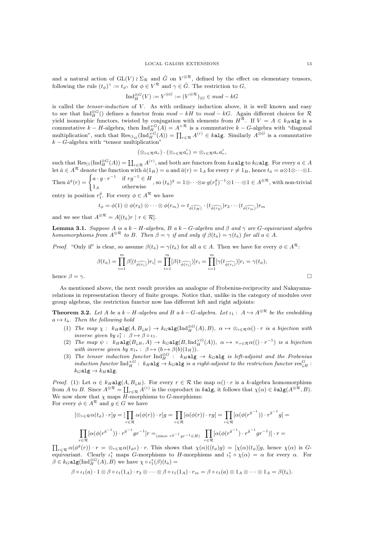and a natural action of  $GL(V) \wr \Sigma_{\mathcal{R}}$  and  $\hat{G}$  on  $V^{\otimes \mathcal{R}}$ , defined by the effect on elementary tensors, following the rule  $(t_{\phi})^{\gamma} := t_{\phi^{\gamma}}$  for  $\phi \in V^{\mathcal{R}}$  and  $\gamma \in \hat{G}$ . The restriction to  $G$ ,

$$
\mathrm{Ind}_{H}^{\otimes G}(V) := V^{\otimes G} := (V^{\otimes \mathcal{R}})_{|G} \in mod - kG
$$

is called the tensor-induction of V. As with ordinary induction above, it is well known and easy to see that  $\text{Ind}_{H}^{\otimes G}$  () defines a functor from  $mod - kH$  to  $mod - kG$ . Again different choices for R yield isomorphic functors, twisted by conjugation with elements from  $H^R$ . If  $V = A \in k_H$ alg is a commutative  $k - H$ -algebra, then  $\text{Ind}_{H_{-}}^{\times G}(A) = A^{\times \mathcal{R}}$  is a commutative  $k - G$ -algebra with "diagonal multiplication", such that  $\operatorname{Res}_{\vert 1_G}(\operatorname{Ind}_H^{\times G}(A)) = \prod_{r \in \mathcal{R}} A^{(r)} \in k$  alg. Similarly  $A^{\otimes G}$  is a commutative  $k - G$ -algebra with "tensor multiplication"

$$
(\otimes_{r\in\mathcal{R}}a_r)\cdot(\otimes_{r\in\mathcal{R}}a'_r)=\otimes_{r\in\mathcal{R}}a_ra'_r,
$$

such that  $\text{Res}_{\vert 1}(\text{Ind}_{H}^{\otimes G}(A)) = \coprod_{r \in \mathcal{R}} A^{(r)}$ , and both are functors from  $k_H$ alg to  $k_G$ alg. For every  $a \in A$ Let  $\hat{a} \in A^{\mathcal{R}}$  denote the function with  $\hat{a}(1_H) = a$  and  $\hat{a}(r) = 1_A$  for every  $r \neq 1_H$ , hence  $t_{\hat{a}} = a \otimes 1 \otimes \cdots \otimes 1$ . Then  $\hat{a}^g(r) = \begin{cases} a \cdot g \cdot r^{-1} & \text{if } rg^{-1} \in H \end{cases}$  $\begin{array}{lll} \n\frac{d}{dy}, & \text{if } \forall y \in H, \\ \n\text{otherwise} & \text{if } \sinh(y) = 1 \otimes \cdots \otimes a \cdot g(r_1^g)^{-1} \otimes 1 \cdots \otimes 1 \in A^{\otimes \mathcal{R}}, \text{ with non-trivial} \n\end{array}$ 

entry in position  $r_1^{\dot{g}}$ . For every  $\phi \in A^{\mathcal{R}}$  we have

$$
t_{\phi} = \phi(1) \otimes \phi(r_2) \otimes \cdots \otimes \phi(r_m) = t_{\widehat{\phi(1_H)}} \cdot (t_{\widehat{\phi(r_2)}}) r_2 \cdots (t_{\widehat{\phi(r_m)}}) r_m
$$

and we see that  $A^{\otimes \mathcal{R}} = A[(t_{\hat{a}})r \mid r \in \mathcal{R}].$ 

**Lemma 3.1.** Suppose A is a k – H-algebra, B a k – G-algebra and  $\beta$  and  $\gamma$  are G-equivariant algebra homomorphisms from  $A^{\otimes \mathcal{R}}$  to B. Then  $\beta = \gamma$  if and only if  $\beta(t_{\hat{a}}) = \gamma(t_{\hat{a}})$  for all  $a \in A$ .

*Proof.* "Only if" is clear, so assume  $\beta(t_{\hat{a}}) = \gamma(t_{\hat{a}})$  for all  $a \in A$ . Then we have for every  $\phi \in A^{\mathcal{R}}$ .

$$
\beta(t_{\phi}) = \prod_{i=1}^{m} \beta[(t_{\widehat{\phi(r_i)}})r_i] = \prod_{i=1}^{m} [\beta(t_{\widehat{\phi(r_i)}})]r_i = \prod_{i=1}^{m} [\gamma(t_{\widehat{\phi(r_i)}})]r_i = \gamma(t_{\phi}),
$$
  
hence  $\beta = \gamma$ .

As mentioned above, the next result provides an analogue of Frobenius-reciprocity and Nakayamarelations in representation theory of finite groups. Notice that, unlike in the category of modules over group algebras, the restriction functor now has different left and right adjoints:

**Theorem 3.2.** Let A be a k – H-algebra and B a k – G-algebra. Let  $\iota_1: A \hookrightarrow A^{\otimes \mathcal{R}}$  be the embedding  $a \mapsto t_{\hat{a}}$ . Then the following hold

- (1) The map  $\chi: k_H$ **alg** $(A, B_{\downarrow H}) \to k_G$ **alg** $(Ind_H^{\otimes G}(A), B)$ ,  $\alpha \mapsto \otimes_{r \in \mathcal{R}} \alpha() \cdot r$  is a bijection with inverse given by  $\iota_1^* : \beta \mapsto \beta \circ \iota_1$ .
- (2) The map  $\psi$ :  $k_H \texttt{alg}(B_{\downarrow H}, A) \to k_G \texttt{alg}(B, \text{Ind}_H^{\times G}(A)), \ \alpha \mapsto \times_{r \in \mathcal{R}} \alpha((\cdot \ r^{-1})$  is a bijection with inverse given by  $\pi_{1*}: \ \beta \mapsto (b \mapsto \beta(b)(1_H)).$
- (3) The tensor induction functor  ${\rm Ind}_{H}^{\otimes G}$ :  $k_H$ **alg**  $\rightarrow$   $k_G$ **alg** is left-adjoint and the Frobenius induction functor  ${\rm Ind}_{H}^{\times G}: k_H$ alg  $\to k_G$ alg is a right-adjoint to the restriction functor  ${\rm res}^G_{\downarrow H}$ :  $k_G$ alg  $\rightarrow k_H$ alg.

*Proof.* (1): Let  $\alpha \in k_H \text{alg}(A, B_{\downarrow H})$ . For every  $r \in \mathcal{R}$  the map  $\alpha() \cdot r$  is a k-algebra homomorphism from A to B. Since  $A^{\otimes \mathcal{R}} = \coprod_{r \in \mathcal{R}} A^{(r)}$  is the coproduct in kalg, it follows that  $\chi(\alpha) \in k \text{alg}(A^{\otimes \mathcal{R}}, B)$ . We now show that  $\chi$  maps  $\overline{H}$ -morphisms to G-morphisms: For every  $\phi \in A^{\mathcal{R}}$  and  $g \in G$  we have

$$
[\otimes_{r\in\mathcal{R}}\alpha(t_{\phi})\cdot r]g = [\prod_{r\in\mathcal{R}}\alpha(\phi(r))\cdot r]g = \prod_{r\in\mathcal{R}}[\alpha(\phi(r))\cdot rg] = \prod_{r\in\mathcal{R}}[\alpha(\phi(r^{g^{-1}}))\cdot r^{g^{-1}}g] =
$$
  

$$
\prod_{r\in\mathcal{R}}[\alpha(\phi(r^{g^{-1}}))\cdot r^{g^{-1}}gr^{-1}]r =_{(\text{since } r^{g^{-1}}gr^{-1}\in H)} \prod_{r\in\mathcal{R}}[\alpha(\phi(r^{g^{-1}})\cdot r^{g^{-1}}gr^{-1})]\cdot r =
$$

 $\prod_{r\in\mathcal{R}} \alpha(\phi^g(r)) \cdot r = \otimes_{r\in\mathcal{R}} \alpha(t_{\phi^g}) \cdot r$ . This shows that  $\chi(\alpha)((t_{\phi})g) = [\chi(\alpha)(t_{\phi})]g$ , hence  $\chi(\alpha)$  is Gequivariant. Clearly  $\iota_1^*$  maps G-morphisms to H-morphisms and  $\iota_1^* \circ \chi(\alpha) = \alpha$  for every  $\alpha$ . For  $\beta \in k_G$ alg $\left(\text{Ind}_{H}^{\otimes G}(A), B\right)$  we have  $\chi \circ \iota_1^*(\beta)(t_{\hat{a}}) =$ 

$$
\beta \circ \iota_1(a) \cdot 1 \otimes \beta \circ \iota_1(1_A) \cdot r_2 \otimes \cdots \otimes \beta \circ \iota_1(1_A) \cdot r_m = \beta \circ \iota_1(a) \otimes 1_A \otimes \cdots \otimes 1_A = \beta(t_{\hat{a}}).
$$

 $\equiv$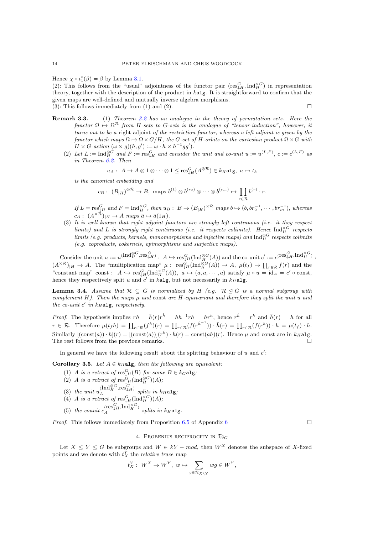Hence  $\chi \circ \iota_1^*(\beta) = \beta$  by Lemma [3.1.](#page-12-1)

(2): This follows from the "usual" adjointness of the functor pair  $(\text{res}_{\sharp H}^G, \text{Ind}_H^{\times G})$  in representation theory, together with the description of the product in kalg. It is straightforward to confirm that the given maps are well-defined and mutually inverse algebra morphisms. (3): This follows immediately from (1) and (2).  $\square$ 

- <span id="page-14-0"></span>Remark 3.3. (1) Theorem [3.2](#page-12-0) has an analogue in the theory of permutation sets. Here the functor  $\Omega \mapsto \Omega^{\mathcal{R}}$  from H-sets to G-sets is the analogue of "tensor-induction", however, it turns out to be a right adjoint of the restriction functor, whereas a left adjoint is given by the functor which maps  $\Omega \mapsto \Omega \times G/H$ , the G-set of H-orbits on the cartesian product  $\Omega \times G$  with  $H \times G$ -action  $(\omega \times g)(h, g') := \omega \cdot h \times h^{-1}gg'$ .
	- (2) Let  $L := \text{Ind}_{H}^{\otimes G}$  and  $F := \text{res}_{\downarrow H}^{G}$  and consider the unit and co-unit  $u := u^{(L,F)}$ ,  $c := c^{(L,F)}$  as in Theorem [6.2.](#page-20-0) Then

$$
u_A: A \to A \otimes 1 \otimes \cdots \otimes 1 \leq \text{res}_{\downarrow H}^G(A^{\otimes \mathcal{R}}) \in k_H \text{alg}, \ a \mapsto t_{\hat{a}}
$$

is the canonical embedding and

$$
c_B: (B_{|H})^{\otimes R} \to B
$$
, maps  $b^{(1)} \otimes b^{(r_2)} \otimes \cdots \otimes b^{(r_m)} \mapsto \prod_{r \in \mathcal{R}} b^{(r)} \cdot r$ .

If  $L = \operatorname{res}^G_{\downarrow H}$  and  $F = \operatorname{Ind}_H^{\times G}$ , then  $u_B : B \to (B_{|H})^{\times R}$  maps  $b \mapsto (b, br_2^{-1}, \dots, br_m^{-1})$ , whereas  $c_A: (A^{\times \mathcal{R}})_{|H} \to A$  maps  $\bar{a} \mapsto \bar{a}(1_H)$ .

(3) It is well known that right adjoint functors are strongly left continuous (i.e. it they respect limits) and L is strongly right continuous (i.e. it respects colimits). Hence  $\text{Ind}_{H}^{\times G}$  respects limits (e.g. products, kernels, monomorphisms and injective maps) and  $\text{Ind}_{H}^{\otimes G}$  respects colimits (e.g. coproducts, cokernels, epimorphisms and surjective maps).

 $\text{Consider the unit } u := u^{(\text{Ind}_{H}^{\otimes G}, \text{res}_{\downarrow H}^{G})} : A \hookrightarrow \text{res}_{\downarrow H}^{G}(\text{Ind}_{H}^{\otimes G}(A)) \text{ and the co-unit } c' := c^{(\text{res}_{\downarrow H}^{G}, \text{Ind}_{H}^{\times G})} : A \hookrightarrow \text{res}_{\downarrow H}^{G}(\text{Ind}_{H}^{\otimes G}, \text{Ind}_{H}^{\otimes G})$  $(A^{\times \mathcal{R}})_{|H} \to A$ . The "multiplication map"  $\mu : \operatorname{res}_{\downarrow H}^G(\text{Ind}_H^{\otimes G}(A)) \to A$ ,  $\mu(t_f) \mapsto \prod_{r \in \mathcal{R}} f(r)$  and the "constant map" const :  $A \hookrightarrow \text{res}_{\downarrow H}^G(\text{Ind}_H^{\times G}(A)), a \mapsto (a, a, \dots, a)$  satisfy  $\mu \circ u = \text{id}_A = c' \circ \text{const},$ hence they respectively split u and  $c'$  in kalg, but not necessarily in  $k_H$ alg.

<span id="page-14-1"></span>**Lemma 3.4.** Assume that  $\mathcal{R} \subseteq G$  is normalized by H (e.g.  $\mathcal{R} \triangleleft G$  is a normal subgroup with complement  $H$ ). Then the maps  $\mu$  and const are H-equivariant and therefore they split the unit u and the co-unit  $c'$  in  $k_H$ alg, respectively.

*Proof.* The hypothesis implies  $rh = \bar{h}(r)r^{\dot{h}} = hh^{-1}rh = hr^{h}$ , hence  $r^{\dot{h}} = r^{h}$  and  $\bar{h}(r) = h$  for all  $r \in \mathcal{R}$ . Therefore  $\mu(t_f h) = \prod_{r \in \mathcal{R}} (f^{h})(r) = \prod_{r \in \mathcal{R}} (f(r^{h^{-1}})) \cdot \bar{h}(r) = \prod_{r \in \mathcal{R}} (f(r^{h})) \cdot h = \mu(t_f) \cdot h$ . Similarly  $[(\text{const}(a)) \cdot h](r) = [(\text{const}(a))] (r^{\dot{h}}) \cdot \bar{h}(r) = \text{const}(ah)(r)$ . Hence  $\mu$  and const are in  $k_H$ alg. The rest follows from the previous remarks.

In general we have the following result about the splitting behaviour of  $u$  and  $c'$ :

Corollary 3.5. Let  $A \in k_H$ alg, then the following are equivalent:

- (1) A is a retract of  $\operatorname{res}^G_{\downarrow H}(B)$  for some  $B \in k_G$ alg;
- (2) A is a retract of  $\operatorname{res}_{\downarrow H}^G(\operatorname{Ind}_H^{\otimes G})(A);$
- (3) the unit  $u_A^{(\text{Ind}_{H}^{\otimes G}, \text{res}_{\downarrow H}^G)}$  splits in  $k_H$ alg;
- (4) A is a retract of  $\operatorname{res}_{\downarrow H}^G(\operatorname{Ind}_H^{\times G})(A);$
- (5) the counit  $c_A^{\text{(res)}_H,\text{Ind}_H^{\times G}}$  splits in  $k_H$ alg.

*Proof.* This follows immediately from Proposition [6.5](#page-20-1) of Appendix [6](#page-19-0)

#### 4. FROBENIUS RECIPROCITY IN  $\mathfrak{Is}_G$

Let  $X \le Y \le G$  be subgroups and  $W \in kY$  – mod, then  $W^X$  denotes the subspace of X-fixed points and we denote with  $t_X^Y$  the *relative trace* map

$$
t_X^Y: W^X \to W^Y, w \mapsto \sum_{g \in \mathcal{R}_{X \setminus Y}} wg \in W^Y,
$$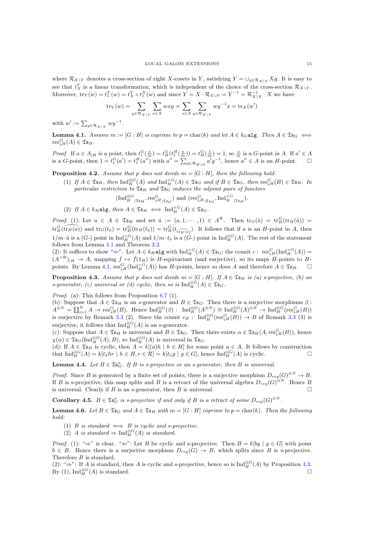where  $\mathcal{R}_{X\setminus Y}$  denotes a cross-section of right X-cosets in Y, satisfying  $Y = \bigcup_{g \in \mathcal{R}_{X\setminus Y}} Xg$ . It is easy to see that  $t_X^Y$  is a linear transformation, which is independent of the choice of the cross-section  $\mathcal{R}_{X\setminus Y}$ . Moreover,  $\text{tr}_Y(w) = t_1^Y(w) = t_X^Y \circ t_1^X(w)$  and since  $Y = X \cdot \mathcal{R}_{X \setminus Y} = Y^{-1} = \mathcal{R}_{X \setminus Y}^{-1} \cdot X$  we have

$$
\mathrm{tr}_Y(w) = \sum_{y \in \mathcal{R}_{X \setminus Y}} \sum_{x \in X} wxy = \sum_{x \in X} \sum_{y \in \mathcal{R}_{X \setminus Y}} w y^{-1} x = \mathrm{tr}_X(w')
$$

with  $w' := \sum_{y \in \mathcal{R}_{X \setminus Y}} wy^{-1}$ .

**Lemma 4.1.** Assume  $m := [G : H]$  is coprime to  $p = \text{char}(k)$  and let  $A \in k_G$  alg. Then  $A \in \mathfrak{Is}_G \iff$  $res_{\downarrow H}^G(A) \in \mathfrak{Ts}_H.$ 

*Proof.* If  $a \in A_{|H}$  is a point, then  $t_1^G(\frac{a}{m}) = t_H^G(t_1^H(\frac{a}{m})) = t_H^G(\frac{1}{m}) = 1$ , so  $\frac{a}{m}$  is a G-point in A. If  $a' \in A$ is a G-point, then  $1 = t_1^G(a') = t_1^H(a'')$  with  $a'' = \sum_{g \in \mathcal{R}_{H \setminus G}} a' g^{-1}$ , hence  $a'' \in A$  is an H-point.  $\Box$ 

<span id="page-15-1"></span>**Proposition 4.2.** Assume that p does not divide  $m = [G : H]$ , then the following hold:

(1) If  $A \in \mathfrak{Is}_H$ , then  $\text{Ind}_H^{\otimes G}(A)$  and  $\text{Ind}_H^{\times G}(A) \in \mathfrak{Is}_G$  and if  $B \in \mathfrak{Is}_G$ , then  $\text{res}_\downarrow^G(H) \in \mathfrak{Is}_H$ . In particular restriction to  $\mathfrak{Is}_{H}$  and  $\mathfrak{Is}_{G}$  induces the adjoint pairs of functors

$$
(\mathrm{Ind}_{H}^{\otimes G}|_{\mathfrak{T}\mathfrak{s}_{H}},\mathrm{res}_{\downarrow H}|_{\mathfrak{T}\mathfrak{s}_{G}}) \text{ and } (\mathrm{res}_{\downarrow H|_{\mathfrak{T}\mathfrak{s}_{G}}}^G,\mathrm{Ind}_{H|_{\mathfrak{T}\mathfrak{s}_{H}}}^{\times G}).
$$

(2) If  $A \in k_H$ alg, then  $A \in \mathfrak{Is}_H \iff \text{Ind}_H^{\times G}(A) \in \mathfrak{Is}_G$ .

*Proof.* (1): Let  $a \in A \in \mathfrak{Is}_H$  and set  $\hat{a} := (a, 1, \dots, 1) \in A^{\mathcal{R}}$ . Then  $\text{tr}_G(\hat{a}) = \text{tr}_H^G(\text{tr}_H(\hat{a}))$  $\text{tr}_H^G(\widehat{\text{tr}_H(a)})$  and  $\text{tr}_G(t_a) = \text{tr}_H^G(\text{tr}_H(t_a)) = \text{tr}_H^G(t_{\widehat{\text{tr}_H(a)}})$ . It follows that if a is an H-point in A, then  $1/m \cdot \hat{a}$  is a  $(G)$  point in  $\text{Ind}_{H}^{\times G}(A)$  and  $1/m \cdot t_{\hat{a}}$  is a  $(G)$  point in  $\text{Ind}_{H}^{\otimes G}(A)$ . The rest of the statement follows from Lemma [4.1](#page-14-0) and Theorem [3.2.](#page-12-0)

(2): It suffices to show " $\Leftarrow$ ". Let  $A \in k_H$ **alg** with  $\text{Ind}_{H}^{\times G}(A) \in \mathfrak{Is}_{G}$ ; the counit  $c: \text{res}_{\downarrow H}^{G}(\text{Ind}_{H}^{\times G}(A))$  $(A^{\times \mathcal{R}})_{|H} \to A$ , mapping  $\bar{f} \mapsto \bar{f}(1_H)$  is H-equivariant (and surjective), so its maps H-points to H-points. By Lemma [4.1,](#page-14-0)  $res_{\downarrow H}^G(\text{Ind}_{H}^{\times G}(A))$  has H-points, hence so does A and therefore  $A \in \mathfrak{Is}_{H}$ .  $\square$ 

**Proposition 4.3.** Assume that p does not divide  $m = [G : H]$ . If  $A \in \mathfrak{Is}_H$  is (a) s-projective, (b) and s-generator, (c) universal or (d) cyclic, then so is  $\text{Ind}_{H}^{\otimes G}(A) \in \mathfrak{Is}_{G}$ .

Proof. (a): This follows from Proposition [6.7](#page-21-0) (1).

(b): Suppose that  $A \in \mathfrak{Ts}_H$  is an s-generator and  $B \in \mathfrak{Ts}_G$ . Then there is a surjective morphisms  $\beta$ :  $A^{\otimes N} = \coprod_{i=1}^N A \to \text{res}_{\downarrow H}^G(B)$ . Hence  $\text{Ind}_{H}^{\otimes G}(\beta)$ :  $\text{Ind}_{H}^{\otimes G}(A^{\otimes N}) \cong \text{Ind}_{H}^{\otimes G}(A)^{\otimes N} \to \text{Ind}_{H}^{\otimes G}(\text{res}_{\downarrow H}^G(B))$ is surjective by Remark [3.3](#page-0-1) (2). Since the counit  $c_B$ :  $\text{Ind}_{H}^{\otimes G}(\text{res}_{\downarrow H}^G(B)) \to B$  of Remark 3.3 (3) is surjective, it follows that  $\text{Ind}_{H}^{\otimes G}(A)$  is an s-generator.

(c): Suppose that  $A \in \mathfrak{Ts}_H$  is universal and  $B \in \mathfrak{Ts}_G$ . Then there exists  $\alpha \in \mathfrak{Ts}_H(A, \text{res}^G_\downarrow(H(B)),$  hence  $\chi(\alpha) \in \mathfrak{Is}_G(\text{Ind}_H^{\otimes G}(A), B)$ , so  $\text{Ind}_H^{\otimes G}(A)$  is universal in  $\mathfrak{Is}_G$ .

<span id="page-15-0"></span>(d): If  $A \in \mathfrak{Is}_H$  is cyclic, then  $A = k[(a)h \mid h \in H]$  for some point  $a \in A$ . It follows by construction that  $\text{Ind}_{H}^{\otimes G}(A) = k[t_{\hat{a}}hr \mid h \in H, r \in \mathcal{R}] = k[t_{\hat{a}}g \mid g \in G]$ , hence  $\text{Ind}_{H}^{\otimes G}(A)$  is cyclic.

**Lemma 4.4.** Let  $B \in \mathfrak{Is}_{G}^o$ . If B is s-projective or an s-generator, then B is universal.

*Proof.* Since B is generated by a finite set of points, there is a surjective morphism  $D_{reg}(G)^{\otimes N} \to B$ . If B is s-projective, this map splits and B is a retract of the universal algebra  $D_{reg}(G)^{\otimes N}$ . Hence B is universal. Clearly if B is an s-generator, then B is universal.

**Corollary 4.5.**  $B \in \mathfrak{Is}^o_G$  is s-projective if and only if B is a retract of some  $D_{reg}(G)^{\otimes N}$ .

**Lemma 4.6.** Let  $B \in \mathfrak{Ts}_G$  and  $A \in \mathfrak{Ts}_H$  with  $m = [G : H]$  coprime to  $p = \text{char}(k)$ . Then the following hold:

- (1) B is standard  $\iff$  B is cyclic and s-projective.
- (2) A is standard  $\Rightarrow$  Ind $_{H}^{\otimes G}(A)$  is standard.

*Proof.* (1): " $\Rightarrow$ " is clear. " $\Leftarrow$ ": Let B be cyclic and s-projective. Then  $B = k[bg \mid g \in G]$  with point  $b \in B$ . Hence there is a surjective morphism  $D_{req}(G) \rightarrow B$ , which splits since B is s-projective. Therefore B is standard.

(2): " $\Rightarrow$ ": If A is standard, then A is cyclic and s-projective, hence so is Ind $_{H}^{\otimes G}(A)$  by Proposition [4.3.](#page-14-1) By (1),  $\text{Ind}_{H}^{\otimes G}(A)$  is standard.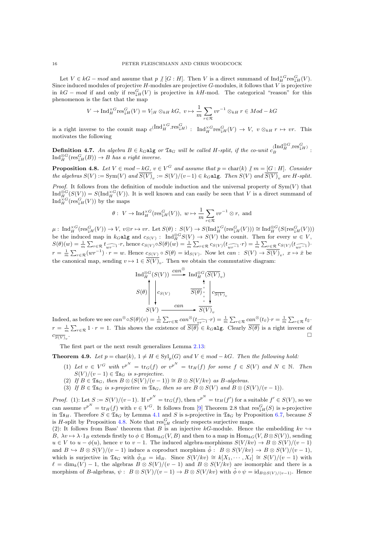Let  $V \in kG-mod$  and assume that  $p \nmid [G:H]$ . Then V is a direct summand of  $\text{Ind}_{H}^{\times G} \text{res}_{\downarrow H}^{G}(V)$ . Since induced modules of projective  $H$ -modules are projective  $G$ -modules, it follows that  $V$  is projective in  $kG - mod$  if and only if  $\text{res}_{\downarrow H}^G(V)$  is projective in  $kH$ -mod. The categorical "reason" for this phenomenon is the fact that the map

$$
V \to \operatorname{Ind}_{H}^{\times G} \operatorname{res}_{\downarrow H}^{G}(V) = V_{|H} \otimes_{kH} kG, \ v \mapsto \frac{1}{m} \sum_{r \in \mathcal{R}} v r^{-1} \otimes_{kH} r \in Mod - kG
$$

is a right inverse to the counit map  $c^{(\text{Ind}_{H}^{\times G}, \text{res}_{\downarrow H}^{G})}: \text{Ind}_{H}^{\times G}\text{res}_{\downarrow H}^{G}(V) \to V, v \otimes_{kH} r \mapsto vr.$  This motivates the following

**Definition 4.7.** An algebra  $B \in k_G$  alg or  $\mathfrak{Is}_G$  will be called H-split, if the co-unit  $c_B^{(\text{Ind}_H^{\otimes G}, \text{res}_\downarrow^G\mu)}$ :  $\text{Ind}_{H}^{\otimes G}(\text{res}^{G}_{\downarrow H}(B)) \to B$  has a right inverse.

**Proposition 4.8.** Let  $V \in mod - kG$ ,  $v \in V^G$  and assume that  $p = char(k) \nmid m = [G : H]$ . Consider the algebras  $S(V) := \text{Sym}(V)$  and  $S(V)_v := S(V)/(v-1) \in k_G$ **alg.** Then  $S(V)$  and  $S(V)_v$  are H-split.

<span id="page-16-0"></span>*Proof.* It follows from the definition of module induction and the universal property of  $Sym(V)$  that  $\text{Ind}_{H}^{\otimes G}(S(V)) = S(\text{Ind}_{H}^{\times G}(V))$ . It is well known and can easily be seen that V is a direct summand of  $\text{Ind}_{H}^{\times G}(\text{res}_{\downarrow H}^{G}(V))$  by the maps

$$
\theta: V \to \text{Ind}_{H}^{\times G}(\text{res}_{\downarrow H}^{G}(V)), w \mapsto \frac{1}{m} \sum_{r \in \mathcal{R}} v r^{-1} \otimes r
$$
, and

<span id="page-16-1"></span> $\mu: \operatorname{Ind}_{H}^{\times G}(\operatorname{res}^{G}_{\downarrow H}(V)) \to V, \ v \otimes r \mapsto vr.$  Let  $S(\theta): S(V) \to S(\operatorname{Ind}_{H}^{\times G}(\operatorname{res}^{G}_{\downarrow H}(V))) \cong \operatorname{Ind}_{H}^{\otimes G}(S(\operatorname{res}^{G}_{\downarrow H}(V)))$ be the induced map in  $k_G$ **alg** and  $c_{S(V)}$ : Ind $_{H}^{\otimes G}S(V) \to S(V)$  the counit. Then for every  $w \in V$ ,  $S(\theta)(w) = \frac{1}{m} \sum_{r \in \mathcal{R}} t_{\widehat{w}r-1} \cdot r$ , hence  $c_{S(V)} \circ S(\theta)(w) = \frac{1}{m} \sum_{r \in \mathcal{R}} c_{S(V)}(t_{\widehat{w}r-1} \cdot r) = \frac{1}{m} \sum_{r \in \mathcal{R}} c_{S(V)}(t_{\widehat{w}r-1})$ .  $r = \frac{1}{m} \sum_{r \in \mathcal{R}} (wr^{-1}) \cdot r = w$ . Hence  $c_{S(V)} \circ S(\theta) = id_{S(V)}$ . Now let  $can : S(V) \to \overline{S(V)}_v$ ,  $x \mapsto \overline{x}$  be the canonical map, sending  $v \mapsto 1 \in S(V)_v$ . Then we obtain the commutative diagram:

$$
\operatorname{Ind}_{H}^{\otimes G}(S(V)) \xrightarrow{can^{\otimes}} \operatorname{Ind}_{H}^{\otimes G}(\overline{S(V)}_{v})
$$

$$
S(\theta) \qquad \downarrow \qquad \qquad \overline{S(\theta)} \qquad \downarrow \qquad \qquad \downarrow \qquad \qquad \downarrow \qquad \qquad \downarrow
$$

$$
S(V) \xrightarrow{can} \qquad \overline{S(V)}_{v}
$$

Indeed, as before we see  $can^{\otimes} \circ S(\theta)(v) = \frac{1}{m} \sum_{r \in \mathcal{R}} can^{\otimes} (t_{\widehat{vr}^{-1}} \cdot r) = \frac{1}{m} \sum_{r \in \mathcal{R}} can^{\otimes} (t_{\widehat{v}}) \cdot r = \frac{1}{m} \sum_{r \in \mathcal{R}} t_{\widehat{v}} \cdot r$  $r = \frac{1}{m} \sum_{r \in \mathcal{R}} 1 \cdot r = 1$ . This shows the existence of  $\overline{S(\theta)} \in k_G$  alg. Clearly  $\overline{S(\theta)}$  is a right inverse of  $c_{\overline{S(V)}}$ . .

The first part or the next result generalizes Lemma [2.13:](#page-9-2)

**Theorem 4.9.** Let  $p = \text{char}(k)$ ,  $1 \neq H \in \text{Syl}_p(G)$  and  $V \in mod - kG$ . Then the following hold:

- (1) Let  $v \in V^G$  with  $v^{p^N} = \text{tr}_G(f)$  or  $v^{p^N} = \text{tr}_H(f)$  for some  $f \in S(V)$  and  $N \in \mathbb{N}$ . Then  $S(V)/(v-1) \in \mathfrak{Ts}_G$  is s-projective.
- (2) If  $B \in \mathfrak{Is}_G$ , then  $B \otimes (S(V)/(v-1)) \cong B \otimes S(V/kv)$  as  $B$ -algebras.
- (3) If  $B \in \mathfrak{Is}_G$  is s-projective in  $\mathfrak{Is}_G$ , then so are  $B \otimes S(V)$  and  $B \otimes (S(V)/(v-1))$ .

<span id="page-16-2"></span>*Proof.* (1): Let  $S := S(V)/(v-1)$ . If  $v^{p^N} = \text{tr}_G(f)$ , then  $v^{p^N} = \text{tr}_H(f')$  for a suitable  $f' \in S(V)$ , so we can assume  $v^{p^N} = \text{tr}_H(f)$  with  $v \in V^G$ . It follows from [\[9\]](#page-22-2) Theorem 2.8 that  $\text{res}_{\downarrow H}^G(S)$  is s-projective in  $\mathfrak{Ts}_H$ . Therefore  $S \in \mathfrak{Ts}_G$  by Lemma [4.1](#page-14-0) and S is s-projective in  $\mathfrak{Ts}_G$  by Proposition [6.7,](#page-21-0) because S is H-split by Proposition [4.8.](#page-15-1) Note that  $\operatorname{res}_{\downarrow H}^G$  clearly respects surjective maps.

(2): It follows from Bass' theorem that B is an injective kG-module. Hence the embedding  $kv \rightarrow$ B,  $\lambda v \mapsto \lambda \cdot 1_B$  extends firstly to  $\phi \in \text{Hom}_{kG}(V, B)$  and then to a map in  $\text{Hom}_{kG}(V, B \otimes S(V))$ , sending  $u \in V$  to  $u - \phi(u)$ , hence v to  $v - 1$ . The induced algebra-morphisms  $S(V/kv) \to B \otimes S(V)/(v-1)$ and  $B \hookrightarrow B \otimes S(V)/(v-1)$  induce a coproduct morphism  $\tilde{\phi}: B \otimes S(V/kv) \to B \otimes S(V)/(v-1)$ , which is surjective in  $\mathfrak{Is}_G$  with  $\tilde{\phi}_{|B} = id_B$ . Since  $S(V/kv) \cong k[X_1, \cdots, X_\ell] \cong S(V)/(v-1)$  with  $\ell = \dim_k(V) - 1$ , the algebras  $B \otimes S(V)/(v-1)$  and  $B \otimes S(V/kv)$  are isomorphic and there is a morphism of B-algebras,  $\psi : B \otimes S(V)/(v-1) \to B \otimes S(V/kv)$  with  $\tilde{\phi} \circ \psi = \text{id}_{B \otimes S(V)/(v-1)}$ . Hence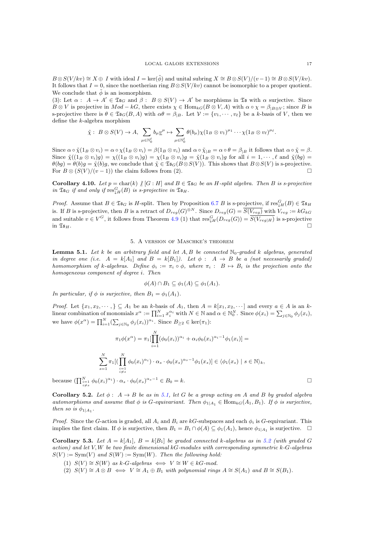$B \otimes S(V / kv) \cong X \oplus I$  with ideal  $I = \ker(\phi)$  and unital subring  $X \cong B \otimes S(V) / (v - 1) \cong B \otimes S(V / kv)$ . It follows that  $I = 0$ , since the noetherian ring  $B \otimes S(V/kv)$  cannot be isomorphic to a proper quotient. We conclude that  $\tilde{\phi}$  is an isomorphism.

(3): Let  $\alpha: A \to A' \in \mathfrak{Is}_G$  and  $\beta: B \otimes S(V) \to A'$  be morphisms in  $\mathfrak{Is}$  with  $\alpha$  surjective. Since  $B \otimes V$  is projective in  $Mod - kG$ , there exists  $\chi \in Hom_{kG}(B \otimes V, A)$  with  $\alpha \circ \chi = \beta_{IB \otimes V}$ ; since B is s-projective there is  $\theta \in \mathfrak{Is}_G(B,A)$  with  $\alpha\theta = \beta_{|B|}$ . Let  $\mathcal{V} := \{v_1, \dots, v_\ell\}$  be a k-basis of V, then we define the k-algebra morphism

$$
\tilde{\chi}: B \otimes S(V) \to A, \sum_{\mu \in \mathbb{N}_0^{\ell}} b_{\mu} \underline{v}^{\mu} \mapsto \sum_{\mu \in \mathbb{N}_0^{\ell}} \theta(b_{\mu}) \chi(1_B \otimes v_1)^{\mu_1} \cdots \chi(1_B \otimes v_{\ell})^{\mu_{\ell}}.
$$

Since  $\alpha \circ \tilde{\chi}(1_B \otimes v_i) = \alpha \circ \chi(1_B \otimes v_i) = \beta(1_B \otimes v_i)$  and  $\alpha \circ \tilde{\chi}(B = \alpha \circ \theta = \beta \circ \theta)$  if follows that  $\alpha \circ \tilde{\chi} = \beta$ . Since  $\tilde{\chi}((1_B \otimes v_i)g) = \chi((1_B \otimes v_i)g) = \chi(1_B \otimes v_i)g = \tilde{\chi}(1_B \otimes v_i)g$  for all  $i = 1, \dots, \ell$  and  $\tilde{\chi}(bg) =$  $\theta(bg) = \theta(b)g = \tilde{\chi}(b)g$ , we conclude that  $\tilde{\chi} \in \mathfrak{IsG}(B \otimes S(V))$ . This shows that  $B \otimes S(V)$  is s-projective. For  $B \otimes (S(V)/(v-1))$  the claim follows from (2).

Corollary 4.10. Let  $p = \text{char}(k) \mid [G : H]$  and  $B \in \mathfrak{Is}_G$  be an H-split algebra. Then B is s-projective in  $\mathfrak{Is}_G$  if and only if  $\operatorname{res}^G_{\downarrow H}(B)$  is s-projective in  $\mathfrak{Is}_H$ .

*Proof.* Assume that  $B \in \mathfrak{Ts}_G$  is H-split. Then by Proposition [6.7](#page-21-0) B is s-projective, if  $\text{res}_{\downarrow H}^G(B) \in \mathfrak{Ts}_H$ is. If B is s-projective, then B is a retract of  $D_{reg}(G)^{\otimes N}$ . Since  $D_{reg}(G) = \overline{S(V_{reg})}$  with  $V_{reg} := kG_{kG}$ and suitable  $v \in V^G$ , it follows from Theorem [4.9](#page-15-0) (1) that  $res_{\downarrow H}^G(D_{reg}(G)) = \overline{S(V_{reg}|H)}$  is s-projective in  $\mathfrak{I}_{\mathfrak{H}_1}$ .

#### 5. A version of Maschke's theorem

**Lemma 5.1.** Let k be an arbitrary field and let  $A, B$  be connected  $\mathbb{N}_0$ -graded k algebras, generated in degree one (i.e.  $A = k[A_1]$  and  $B = k[B_1]$ ). Let  $\phi : A \rightarrow B$  be a (not necessarily graded) homomorphism of k-algebras. Define  $\phi_i := \pi_i \circ \phi$ , where  $\pi_i : B \mapsto B_i$  is the projection onto the homogeneous component of degree i. Then

$$
\phi(A) \cap B_1 \subseteq \phi_1(A) \subseteq \phi_1(A_1).
$$

In particular, if  $\phi$  is surjective, then  $B_1 = \phi_1(A_1)$ .

<span id="page-17-0"></span>*Proof.* Let  $\{x_1, x_2, \dots\} \subseteq A_1$  be an k-basis of  $A_1$ , then  $A = k[x_1, x_2, \dots]$  and every  $a \in A$  is an klinear combination of monomials  $x^{\alpha} := \prod_{i=1}^{N} x_i^{\alpha_i}$  with  $N \in \mathbb{N}$  and  $\alpha \in \mathbb{N}_0^N$ . Since  $\phi(x_i) = \sum_{j \in \mathbb{N}_0} \phi_j(x_i)$ , we have  $\phi(x^{\alpha}) = \prod_{i=1}^{N} (\sum_{j \in \mathbb{N}_0} \phi_j(x_i))^{\alpha_i}$ . Since  $B_{\geq 2} \in \text{ker}(\pi_1)$ :

$$
\pi_1 \phi(x^{\alpha}) = \pi_1 \left[ \prod_{i=1}^N (\phi_0(x_i))^{\alpha_i} + \alpha_i \phi_0(x_i)^{\alpha_i - 1} \phi_1(x_i) \right] =
$$
  

$$
\sum_{s=1}^N \pi_1 \left[ \left( \prod_{\substack{i=1 \ i \neq s}}^N \phi_0(x_i)^{\alpha_i} \right) \cdot \alpha_s \cdot \phi_0(x_s)^{\alpha_s - 1} \phi_1(x_s) \right] \in \langle \phi_1(x_s) \mid s \in \mathbb{N} \rangle_k,
$$
  

$$
\phi_0(x_i)^{\alpha_i} \cdot \alpha_s \cdot \phi_0(x_s)^{\alpha_s - 1} \in B_0 = k.
$$

because  $\left(\prod_{\substack{i=1 \ i\neq s}}^N \phi_0(x_i)\right)$  $\alpha$ <sup>*a*i</sup>)  $\cdot \alpha$ <sub>*s*</sub>  $\cdot \phi_0(x_s)$ 

Corollary 5.2. Let  $\phi: A \rightarrow B$  be as in [5.1,](#page-16-1) let G be a group acting on A and B by graded algebra automorphisms and assume that  $\phi$  is G-equivariant. Then  $\phi_{1|A_1} \in \text{Hom}_{kG}(A_1, B_1)$ . If  $\phi$  is surjective, then so is  $\phi_{1|A_1}$ .

*Proof.* Since the G-action is graded, all  $A_i$  and  $B_i$  are kG-subspaces and each  $\phi_i$  is G-equivariant. This implies the first claim. If  $\phi$  is surjective, then  $B_1 = B_1 \cap \phi(A) \subseteq \phi_1(A_1)$ , hence  $\phi_{1|A_1}$  is surjective.  $\Box$ 

**Corollary 5.3.** Let  $A = k[A_1], B = k[B_1]$  be graded connected k-algebras as in [5.2](#page-16-2) (with graded G  $action)$  and let V, W be two finite dimensional kG-modules with corresponding symmetric k-G-algebras  $S(V) := \text{Sym}(V)$  and  $S(W) := \text{Sym}(W)$ . Then the following hold:

- (1)  $S(V) \cong S(W)$  as k-G-algebras  $\iff V \cong W \in kG$ -mod.
- (2)  $S(V) \cong A \otimes B \iff V \cong A_1 \oplus B_1$  with polynomial rings  $A \cong S(A_1)$  and  $B \cong S(B_1)$ .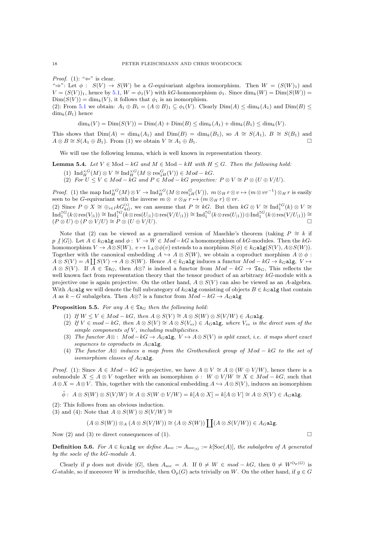*Proof.* (1): " $\Leftarrow$ " is clear.

 $\Rightarrow$ ": Let  $\phi$ :  $S(V) \rightarrow S(W)$  be a G-equivariant algebra isomorphism. Then  $W = (S(W)_1)$  and  $V = (S(V))_1$ , hence by [5.1,](#page-16-1)  $W = \phi_1(V)$  with kG-homomorphism  $\phi_1$ . Since  $\dim_k(W) = \text{Dim}(S(W)) =$  $\text{Dim}(S(V)) = \dim_k(V)$ , it follows that  $\phi_1$  is an isomorphism.

<span id="page-18-1"></span>(2): From [5.1](#page-16-1) we obtain:  $A_1 \oplus B_1 = (A \otimes B)_1 \subseteq \phi_1(V)$ . Clearly  $\text{Dim}(A) \leq \dim_k(A_1)$  and  $\text{Dim}(B) \leq \phi_1(V)$ .  $\dim_k(B_1)$  hence

<span id="page-18-2"></span>
$$
\dim_k(V) = \text{Dim}(S(V)) = \text{Dim}(A) + \text{Dim}(B) \le \dim_k(A_1) + \dim_k(B_1) \le \dim_k(V).
$$

This shows that  $Dim(A) = dim_k(A_1)$  and  $Dim(B) = dim_k(B_1)$ , so  $A \cong S(A_1)$ ,  $B \cong S(B_1)$  and  $A \otimes B \cong S(A_1 \oplus B_1)$ . From (1) we obtain  $V \cong A_1 \oplus B_1$ .

We will use the following lemma, which is well known in representation theory.

**Lemma 5.4.** Let  $V \in Mod - kG$  and  $M \in Mod - kH$  with  $H \leq G$ . Then the following hold:

- (1)  $\text{Ind}_{H}^{\times G}(M) \otimes V \cong \text{Ind}_{H}^{\times G}(M \otimes \text{res}_{\downarrow H}^{G}(V)) \in Mod kG.$
- (2) For  $U \leq V \in Mod kG$  and  $P \in Mod kG$  projective:  $P \otimes V \cong P \otimes (U \oplus V/U)$ .

*Proof.* (1) the map  $\text{Ind}_{H}^{\times G}(M) \otimes V \to \text{Ind}_{H}^{\times G}(M \otimes \text{res}_{\downarrow H}^{G}(V)), m \otimes_{H} r \otimes v \mapsto (m \otimes v r^{-1}) \otimes_{H} r$  is easily seen to be G-equivariant with the inverse  $m \otimes v \otimes_H r \mapsto (m \otimes_H r) \otimes vr$ .

(2) Since  $P \oplus X \cong \bigoplus_{i \in I} kG_{kG}^{(i)}$ , we can assume that  $P \cong kG$ . But then  $kG \otimes V \cong \text{Ind}_{1}^{\uparrow G}(k) \otimes V \cong$  $\mathrm{Ind}_1^{\uparrow G}(k\otimes \mathrm{res}(V_{|1}))\cong \mathrm{Ind}_1^{\uparrow G}(k\otimes \mathrm{res}(U_{|1})\oplus \mathrm{res}(V/U_{|1}))\cong \mathrm{Ind}_1^{\uparrow G}(k\otimes \mathrm{res}(U_{|1}))\oplus \mathrm{Ind}_1^{\uparrow G}(k\otimes \mathrm{res}(V/U_{|1}))\cong$  $(P \otimes U) \oplus (P \otimes V/U) \cong P \otimes (U \oplus V/U).$ 

<span id="page-18-3"></span>Note that (2) can be viewed as a generalized version of Maschke's theorem (taking  $P \cong k$  if  $p \nmid |G|$ . Let  $A \in k_G$ alg and  $\phi: V \to W \in Mod - kG$  a homomorphism of kG-modules. Then the kGhomomorphism  $V \to A \otimes S(W)$ ,  $v \mapsto 1_A \otimes \phi(v)$  extends to a morphism  $S(\phi) \in k_G \text{alg}(S(V), A \otimes S(W))$ . Together with the canonical embedding  $A \hookrightarrow A \otimes S(W)$ , we obtain a coproduct morphism  $A \otimes \phi$ :  $A \otimes S(V) = A \coprod S(V) \rightarrow A \otimes S(W)$ . Hence  $A \in k_G$ alg induces a functor  $Mod - kG \rightarrow k_G$ alg,  $V \mapsto$  $A \otimes S(V)$ . If  $A \in \mathfrak{Ts}_G$ , then  $A \otimes ?$  is indeed a functor from  $Mod - kG \rightarrow \mathfrak{Ts}_G$ , This reflects the well known fact from representation theory that the tensor product of an arbitrary  $kG$ -module with a projective one is again projective. On the other hand,  $A \otimes S(V)$  can also be viewed as an A-algebra. With  $A_G$ alg we will denote the full subcategory of  $k_G$ alg consisting of objects  $B \in k_G$ alg that contain A as  $k - G$  subalgebra. Then A⊗? is a functor from  $Mod - kG \rightarrow A_G$ alg

**Proposition 5.5.** For any  $A \in \mathfrak{Is}_G$  then the following hold:

- (1) If  $W \leq V \in Mod kG$ , then  $A \otimes S(V) \cong A \otimes S(W) \otimes S(V/W) \in A_G$ alg.
- (2) If  $V \in \text{mod} kG$ , then  $A \otimes S(V) \cong A \otimes S(V_{ss}) \in A_G$ **alg**, where  $V_{ss}$  is the direct sum of the simple components of  $V$ , including multiplicities.
- (3) The functor  $A\otimes$ :  $Mod kG \rightarrow A_G$  alg,  $V \mapsto A \otimes S(V)$  is split exact, i.e. it maps short exact sequences to coproducts in  $A_G$ alg.
- (4) The functor A⊗ induces a map from the Grothendieck group of Mod − kG to the set of isomorphism classes of  $A_G$ alg.

*Proof.* (1): Since  $A \in Mod - kG$  is projective, we have  $A \otimes V \cong A \otimes (W \oplus V/W)$ , hence there is a submodule  $X \le A \otimes V$  together with an isomorphism  $\phi : W \oplus V/W \cong X \in Mod - kG$ , such that  $A \otimes X = A \otimes V$ . This, together with the canonical embedding  $A \hookrightarrow A \otimes S(V)$ , induces an isomorphism

<span id="page-18-0"></span>
$$
\tilde{\phi}: A \otimes S(W) \otimes S(V/W) \cong A \otimes S(W \oplus V/W) = k[A \otimes X] = k[A \otimes V] \cong A \otimes S(V) \in A_G \text{alg}.
$$

(2): This follows from an obvious induction.

(3) and (4): Note that  $A \otimes S(W) \otimes S(V/W) \cong$ 

$$
(A \otimes S(W)) \otimes_A (A \otimes S(V/W)) \cong (A \otimes S(W)) \coprod (A \otimes S(V/W)) \in A_G \text{alg}.
$$

Now (2) and (3) re direct consequences of (1).

**Definition 5.6.** For  $A \in k_G$  alg we define  $A_{\text{soc}} := A_{\text{soc}_{|G}} := k[\text{Soc}(A)],$  the subalgebra of  $A$  generated by the socle of the kG-module A.

Clearly if p does not divide |G|, then  $A_{\text{soc}} = A$ . If  $0 \neq W \in mod - kG$ , then  $0 \neq W^{O_p(G)}$  is G-stable, so if moreover W is irreducible, then  $O_p(G)$  acts trivially on W. On the other hand, if  $g \in G$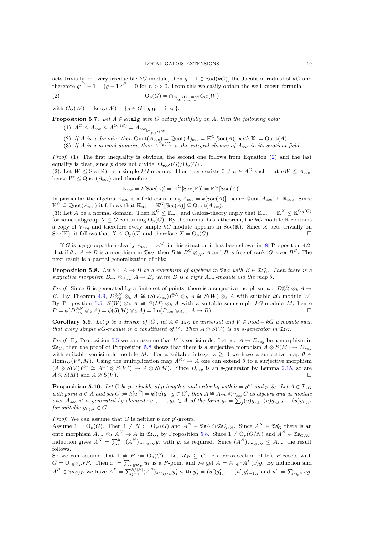acts trivially on every irreducible kG-module, then  $g - 1 \in Rad(kG)$ , the Jacobson-radical of kG and therefore  $g^{p^n} - 1 = (g - 1)^{p^n} = 0$  for  $n >> 0$ . From this we easily obtain the well-known formula

(2) 
$$
\mathcal{O}_p(G) = \bigcap_{\substack{W \in kG - mod \\ W \text{ simple}}} C_G(W)
$$

<span id="page-19-0"></span>with  $C_G(W) := \ker_G(W) = \{q \in G \mid q|_W = \text{id}_W \}.$ 

**Proposition 5.7.** Let  $A \in k_G$  algebth  $G$  acting faithfully on  $A$ , then the following hold: .

$$
(1) \ \ A^G \le A_{\rm soc} \le A^{\mathcal{O}_p(G)} = A_{\rm soc}|_{\mathcal{O}_{p,p'}(G)}
$$

- (2) If A is a domain, then  $Quot(A<sub>soc</sub>) = Quot(A)<sub>soc</sub> = \mathbb{K}^G[\text{Soc}(A)]$  with  $\mathbb{K} := \text{Quot}(A)$ .
- (3) If A is a normal domain, then  $A^{O_p(G)}$  is the integral closure of  $A_{\text{soc}}$  in its quotient field.

*Proof.* (1): The first inequality is obvious, the second one follows from Equation  $(2)$  and the last equality is clear, since p does not divide  $|O_{p,p'}(G)/O_p(G)|$ .

(2): Let  $W \leq \text{Soc}(\mathbb{K})$  be a simple kG-module. Then there exists  $0 \neq a \in A^G$  such that  $aW \leq A_{\text{soc}}$ , hence  $W \leq Q$ uot $(A_{\text{soc}})$  and therefore

$$
\mathbb{K}_{\text{soc}} = k[\text{Soc}(\mathbb{K})] = \mathbb{K}^G[\text{Soc}(\mathbb{K})] = \mathbb{K}^G[\text{Soc}(A)].
$$

In particular the algebra  $\mathbb{K}_{\text{soc}}$  is a field containing  $A_{\text{soc}} = k[\text{Soc}(A)],$  hence  $\text{Quot}(A_{\text{soc}}) \subseteq \mathbb{K}_{\text{soc}}$ . Since  $\mathbb{K}^G \subseteq \mathrm{Quot}(A_{\mathrm{soc}})$  it follows that  $\mathbb{K}_{\mathrm{soc}} = \mathbb{K}^G[\mathrm{Soc}(A)] \subseteq \mathrm{Quot}(A_{\mathrm{soc}})$ .

(3): Let A be a normal domain. Then  $\mathbb{K}^G \leq \mathbb{K}_{\text{soc}}$  and Galois-theory imply that  $\mathbb{K}_{\text{soc}} = \mathbb{K}^X \leq \mathbb{K}^{\mathcal{O}_p(G)}$ for some subgroup  $X \leq G$  containing  $O_p(G)$ . By the normal basis theorem, the kG-module K contains a copy of  $V_{reg}$  and therefore every simple kG-module appears in Soc(K). Since X acts trivially on Soc(K), it follows that  $X \leq O_p(G)$  and therefore  $X = O_p(G)$ .

If G is a p-group, then clearly  $A_{\text{soc}} = A^G$ ; in this situation it has been shown in [\[8\]](#page-22-0) Proposition 4.2, that if  $\theta: A \to B$  is a morphism in  $\mathfrak{Is}_G$ , then  $B \cong B^G \otimes_{A^G} A$  and B is free of rank  $|G|$  over  $B^G$ . The next result is a partial generalization of this:

**Proposition 5.8.** Let  $\theta: A \to B$  be a morphism of algebras in  $\mathfrak{Is}_G$  with  $B \in \mathfrak{Is}_G^o$ . Then there is a surjective morphism  $B_{\rm soc} \otimes_{A_{\rm soc}} A \to B$ , where B is a right  $A_{\rm soc}$ -module via the map  $\theta$ .

*Proof.* Since B is generated by a finite set of points, there is a surjective morphism  $\phi: D_{reg}^{\otimes N} \otimes_k A \to$ B. By Theorem [4.9,](#page-15-0)  $D_{reg}^{\otimes N} \otimes_k A \cong (\overline{S(V_{reg})})^{\otimes N} \otimes_k A \cong S(W) \otimes_k A$  with suitable kG-module W. By Proposition [5.5,](#page-17-0)  $S(W) \otimes_k A \cong S(M) \otimes_k A$  with a suitable semisimple kG-module M, hence  $B = \phi(D_{reg}^{\otimes N} \otimes_k A) = \phi(S(M) \otimes_k A) = \text{Im}(B_{soc} \otimes_{A_{soc}} A \to B).$ 

Corollary 5.9. Let p be a divisor of |G|, let  $A \in \mathfrak{S}_G$  be universal and  $V \in \mathfrak{mod} - kG$  a module such that every simple kG-module is a constituent of V. Then  $A \otimes S(V)$  is an s-generator in  $\mathfrak{Is}_G$ .

*Proof.* By Proposition [5.5](#page-17-0) we can assume that V is semisimple. Let  $\phi: A \rightarrow D_{reg}$  be a morphism in  $\mathfrak{Ts}_G$ , then the proof of Proposition [5.8](#page-18-3) shows that there is a surjective morphism  $A \otimes S(M) \to D_{reg}$ with suitable semisimple module M. For a suitable integer  $s \geq 0$  we have a surjective map  $\theta \in$  $\text{Hom}_{kG}(V^s, M)$ . Using the multiplication map  $A^{\otimes s} \to A$  one can extend  $\theta$  to a surjective morphism  $(A \otimes S(V))^{\otimes s} \cong A^{\otimes s} \otimes S(V^s) \to A \otimes S(M)$ . Since  $D_{reg}$  is an s-generator by Lemma [2.15,](#page-9-1) so are  $A \otimes S(M)$  and  $A \otimes S(V)$ .

**Proposition 5.10.** Let G be p-solvable of p-length s and order hq with  $h = p^m$  and p  $/q$ . Let  $A \in \mathfrak{Is}_G$ with point  $u \in A$  and set  $C := k[u^G] = k[(u)g | g \in G]$ , then  $A \cong A_{soc} \otimes_{C_{soc}} C$  as algebra and as module over  $A_{soc}$  it is generated by elements  $y_1, \dots, y_h \in A$  of the form  $y_i = \sum_j(u)g_{i,j,1}(u)g_{i,j,2}\cdots(u)g_{i,j,s}$ for suitable  $g_{i,j,k} \in G$ .

*Proof.* We can assume that G is neither  $p$  nor  $p'$ -group.

Assume  $1 = O_p(G)$ . Then  $1 \neq N := O_{p'}(G)$  and  $A^N \in \mathfrak{Is}_{G}^o \cap \mathfrak{Is}_{G/N}^o$ . Since  $A^N \in \mathfrak{Is}_{G}^o$  there is an onto morphism  $A_{soc} \otimes_k A^N \to A$  in  $\mathfrak{Is}_G$ , by Proposition [5.8.](#page-18-3) Since  $1 \neq O_p(G/N)$  and  $A^N \in \mathfrak{Is}_{G/N}$ , induction gives  $A^N = \sum_{i=1}^h (A^N)_{soc_{G/N}} y_i$  with  $y_i$  as required. Since  $(A^N)_{soc_{G/N}} \leq A_{soc}$  the result follows.

So we can assume that  $1 \neq P := O_p(G)$ . Let  $\mathcal{R}_P \subseteq G$  be a cross-section of left P-cosets with  $G = \bigcup_{r \in \mathcal{R}_P} rP$ . Then  $x := \sum_{r \in \mathcal{R}_P} u r$  is a P-point and we get  $A = \bigoplus_{g \in P} A^P(x)g$ . By induction and  $A^P \in \mathfrak{Is}_{G/P}$  we have  $A^P = \sum_{j=1}^{h/|P|} (A^P)_{soc_{G/P}} y'_j$  with  $y'_j = (u')g'_{1,j} \cdots (u')g'_{s-1,j}$  and  $u' := \sum_{g \in P} ug$ ,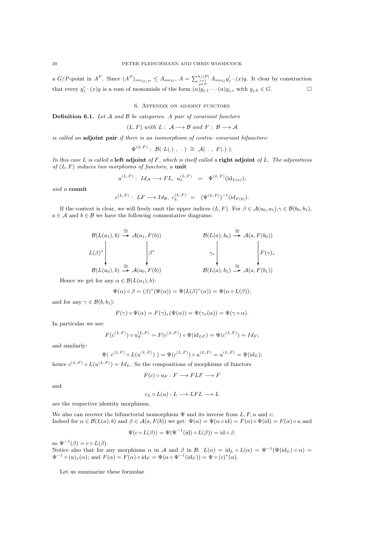<span id="page-20-0"></span>a  $G/P$ -point in  $A^P$ . Since  $(A^P)_{soc_{G/P}} \leq A_{soc_G}$ ,  $A = \sum_{\substack{j=1 \ j \in P}}^{\hbar/|P|} A_{soc_G} y'_j \cdot (x)$ g. It clear by construction that every  $y'_j \cdot (x)g$  is a sum of monomials of the form  $(u)g_{j,1} \cdots (u)g_{j,s}$  with  $g_{j,k} \in G$ .

6. Appendix on adjoint functors

**Definition 6.1.** Let  $A$  and  $B$  be categories. A pair of covariant functors

 $(L, F)$  with  $L: A \longrightarrow B$  and  $F: B \longrightarrow A$ 

is called an adjoint pair if there is an isomorphism of contra- covariant bifunctors:

$$
\Psi^{(L,F)}: \mathcal{B}(\ L(.), \ . \ ) \ \cong \ \mathcal{A}(\ . \ , \ F(.) \ ).
$$

In this case L is called a left adjoint of  $F$ , which is itself called a right adjoint of L. The adjointness of  $(L, F)$  induces two morphisms of functors, a unit

$$
u^{(L,F)}:\;Id_{\mathcal A}\longrightarrow FL,\;u^{(L,F)}_a\quad=\quad \Psi^{(L,F)}(\mathrm{id}_{L(a)});
$$

and a counit

$$
c^{(L,F)}: LF \longrightarrow Id_B, c_b^{(L,F)} = (\Psi^{(L,F)})^{-1}(\mathrm{id}_{F(b)}).
$$

If the context is clear, we will freely omit the upper indices  $(L, F)$ . For  $\beta \in \mathcal{A}(a_0, a_1), \gamma \in \mathcal{B}(b_0, b_1)$ ,  $a \in \mathcal{A}$  and  $b \in \mathcal{B}$  we have the following commutative diagrams:

$$
\mathcal{B}(L(a_1),b) \stackrel{\cong}{\longrightarrow} \mathcal{A}(a_1,F(b))
$$
\n
$$
L(\beta)^* \downarrow \qquad \qquad \beta^*
$$
\n
$$
\mathcal{B}(L(a_0),b) \stackrel{\cong}{\longrightarrow} \mathcal{A}(a_0,F(b))
$$
\n
$$
\mathcal{B}(L(a_0),b) \stackrel{\cong}{\longrightarrow} \mathcal{A}(a_0,F(b))
$$
\n
$$
\mathcal{B}(L(a_0),b) \stackrel{\cong}{\longrightarrow} \mathcal{A}(a,F(b_1))
$$
\n
$$
\mathcal{B}(L(a_0),b) \stackrel{\cong}{\longrightarrow} \mathcal{A}(a,F(b_1))
$$

Hence we get for any  $\alpha \in \mathcal{B}(L(a_1), b)$ :

$$
\Psi(\alpha) \circ \beta = (\beta)^*(\Psi(\alpha)) = \Psi(L(\beta)^*(\alpha)) = \Psi(\alpha \circ L(\beta));
$$

and for any  $\gamma \in \mathcal{B}(b, b_1)$ :

$$
F(\gamma) \circ \Psi(\alpha) = F(\gamma)_*(\Psi(\alpha)) = \Psi(\gamma_*(\alpha)) = \Psi(\gamma \circ \alpha).
$$

In particular we see:

$$
F(c^{(L,F)}) \circ u_F^{(L,F)} = F(c^{(L,F)}) \circ \Psi(\mathrm{id}_{LF}) = \Psi(c^{(L,F)}) = Id_F;
$$

<span id="page-20-2"></span>and similarly:

$$
\Psi(\ c^{(L,F)} \circ L(u^{(L,F)})\ ) = \Psi(c^{(L,F)}) \circ u^{(L,F)} = u^{(L,F)} = \Psi(\mathrm{id}_L);
$$

hence  $c^{(L,F)} \circ L(u^{(L,F)}) = Id_L$ . So the compositions of morphisms of functors

$$
F(c) \circ u_F : F \longrightarrow FLF \longrightarrow F
$$

and

$$
c_L \circ L(u): L \longrightarrow LFL \longrightarrow L
$$

are the respective identity morphisms.

<span id="page-20-3"></span>We also can recover the bifunctorial isomorphism  $\Psi$  and its inverse from L, F, u and c: Indeed for  $\alpha \in \mathcal{B}(L(a), b)$  and  $\beta \in \mathcal{A}(a, F(b))$  we get:  $\Psi(\alpha) = \Psi(\alpha \circ id) = F(\alpha) \circ \Psi(id) = F(\alpha) \circ u$  and

$$
\Psi(c \circ L(\beta)) = \Psi(\Psi^{-1}(\text{id}) \circ L(\beta)) = \text{id} \circ \beta.
$$

so  $\Psi^{-1}(\beta) = c \circ L(\beta)$ .

Notice also that for any morphisms  $\alpha$  in  $\mathcal A$  and  $\beta$  in  $\mathcal B: L(\alpha) = id_L \circ L(\alpha) = \Psi^{-1}(\Psi(\mathrm{id}_L) \circ \alpha) =$  $\Psi^{-1} \circ (u)_*(\alpha);$  and  $F(\alpha) = F(\alpha) \circ id_F = \Psi(\alpha \circ \Psi^{-1}(\mathrm{id}_F)) = \Psi \circ (c)^*(\alpha).$ 

<span id="page-20-1"></span>Let us summarize these formulae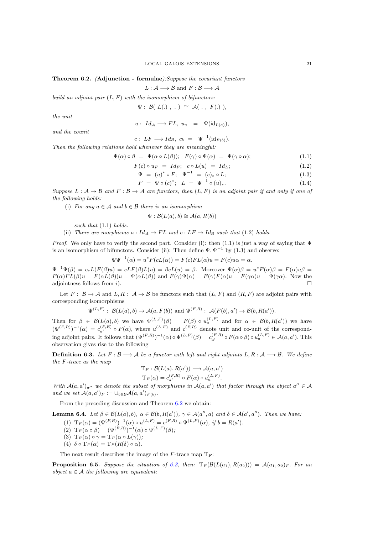#### Theorem 6.2. (Adjunction - formulae):Suppose the covariant functors

 $L : A \longrightarrow B$  and  $F : B \longrightarrow A$ 

build an adjoint pair  $(L, F)$  with the isomorphism of bifunctors:

$$
\Psi: \mathcal{B}(\ L(.))\ ,\ .\ )\ \cong\ \mathcal{A}(\ .\ ,\ F(.)\ ),
$$

the unit

$$
u: Id_{\mathcal{A}} \longrightarrow FL, u_a = \Psi(\mathrm{id}_{L(a)}),
$$

and the counit

 $c: LF \longrightarrow Id_{\mathcal{B}}, c_b = \Psi^{-1}(\mathrm{id}_{F(b)}).$ 

Then the following relations hold whenever they are meaningful:

$$
\Psi(\alpha) \circ \beta = \Psi(\alpha \circ L(\beta)); \quad F(\gamma) \circ \Psi(\alpha) = \Psi(\gamma \circ \alpha); \tag{1.1}
$$

 $F(c) \circ u_F = Id_F; \ c \circ L(u) = Id_L;$  (1.2)

$$
\Psi = (u)^* \circ F; \quad \Psi^{-1} = (c)_* \circ L; \tag{1.3}
$$

$$
F = \Psi \circ (c)^{*}; \quad L = \Psi^{-1} \circ (u)_{*}.
$$
 (1.4)

Suppose  $L: \mathcal{A} \to \mathcal{B}$  and  $F: \mathcal{B} \to \mathcal{A}$  are functors, then  $(L, F)$  is an adjoint pair if and only if one of the following holds:

(i) For any  $a \in A$  and  $b \in B$  there is an isomorphism

$$
\Psi : \mathcal{B}(L(a), b) \cong \mathcal{A}(a, R(b))
$$

such that  $(1.1)$  holds.

<span id="page-21-0"></span>(ii) There are morphisms  $u : Id_A \to FL$  and  $c : LF \to Id_B$  such that (1.2) holds.

Proof. We only have to verify the second part. Consider (i): then (1.1) is just a way of saying that  $\Psi$ is an isomorphism of bifunctors. Consider (ii): Then define  $\Psi$ ,  $\Psi^{-1}$  by (1.3) and observe:

$$
\Psi\Psi^{-1}(\alpha) = u^*F(cL(\alpha)) = F(c)FL(\alpha)u = F(c)u\alpha = \alpha.
$$

 $\Psi^{-1}\Psi(\beta) = c_*L(F(\beta)u) = cLF(\beta)L(u) = \beta cL(u) = \beta$ . Moreover  $\Psi(\alpha)\beta = u^*F(\alpha)\beta = F(\alpha)u\beta$  $F(\alpha)FL(\beta)u = F(\alpha L(\beta))u = \Psi(\alpha L(\beta))$  and  $F(\gamma)\Psi(\alpha) = F(\gamma)F(\alpha)u = F(\gamma\alpha)u = \Psi(\gamma\alpha)$ . Now the adjointness follows from i).  $\square$ 

Let  $F: \mathcal{B} \to \mathcal{A}$  and  $L, R: \mathcal{A} \to \mathcal{B}$  be functors such that  $(L, F)$  and  $(R, F)$  are adjoint pairs with corresponding isomorphisms

$$
\Psi^{(L,F)}: \mathcal{B}(L(a),b) \to \mathcal{A}(a,F(b)) \text{ and } \Psi^{(F,R)}: \mathcal{A}(F(b),a') \to \mathcal{B}(b,R(a')).
$$

Then for  $\beta \in \mathcal{B}(L(a),b)$  we have  $\Psi^{(L,F)}(\beta) = F(\beta) \circ u_a^{(L,F)}$  and for  $\alpha \in \mathcal{B}(b,R(a'))$  we have  $(\Psi^{(F,R)})^{-1}(\alpha) = c_{a'}^{(F,R)} \circ F(\alpha)$ , where  $u^{(L,F)}$  and  $c^{(F,R)}$  denote unit and co-unit of the corresponding adjoint pairs. It follows that  $(\Psi^{(F,R)})^{-1}(\alpha) \circ \Psi^{(L,F)}(\beta) = c_{a'}^{(F,R)} \circ F(\alpha \circ \beta) \circ u_a^{(L,F)} \in \mathcal{A}(a,a').$  This observation gives rise to the following

**Definition 6.3.** Let  $F : \mathcal{B} \longrightarrow \mathcal{A}$  be a functor with left and right adjoints  $L, R : \mathcal{A} \longrightarrow \mathcal{B}$ . We define the F-trace as the map

$$
T_F : \mathcal{B}(L(a), R(a')) \longrightarrow \mathcal{A}(a, a')
$$
  

$$
T_F(\alpha) = c_{a'}^{(F,R)} \circ F(\alpha) \circ u_a^{(L,F)}.
$$

With  $\mathcal{A}(a,a')_{a''}$  we denote the subset of morphisms in  $\mathcal{A}(a,a')$  that factor through the object  $a'' \in \mathcal{A}$ and we set  $\mathcal{A}(a,a')_F := \cup_{b \in \mathcal{B}} \mathcal{A}(a,a')_{F(b)}$ .

From the preceding discussion and Theorem [6.2](#page-20-0) we obtain:

**Lemma 6.4.** Let  $\beta \in \mathcal{B}(L(a), b)$ ,  $\alpha \in \mathcal{B}(b, R(a'))$ ,  $\gamma \in \mathcal{A}(a'', a)$  and  $\delta \in \mathcal{A}(a', a'')$ . Then we have:

(1)  $T_F(\alpha) = (\Psi^{(F,R)})^{-1}(\alpha) \circ u^{(L,F)} = c^{(F,R)} \circ \Psi^{(L,F)}(\alpha), \text{ if } b = R(a').$ 

$$
(2) T_F(\alpha \circ \beta) = (\Psi^{(F,R)})^{-1}(\alpha) \circ \Psi^{(L,F)}(\beta);
$$

- (3)  $T_F(\alpha) \circ \gamma = T_F(\alpha \circ L(\gamma));$
- (4)  $\delta \circ \mathrm{T}_F(\alpha) = \mathrm{T}_F(R(\delta) \circ \alpha).$

The next result describes the image of the F-trace map  $T_F$ :

<span id="page-21-1"></span>**Proposition 6.5.** Suppose the situation of [6.3,](#page-20-2) then:  $T_F(\mathcal{B}(L(a_1), R(a_2))) = \mathcal{A}(a_1, a_2)_F$ . For an object  $a \in \mathcal{A}$  the following are equivalent: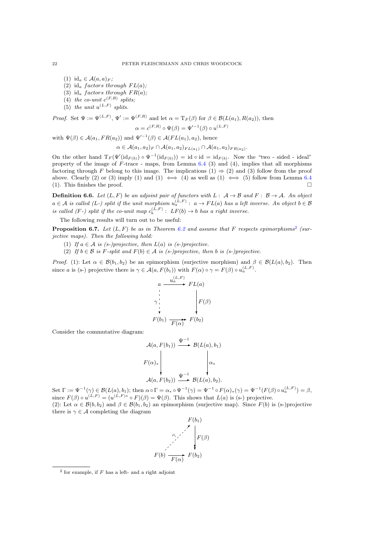- (1) id<sub>a</sub>  $\in$  A $(a, a)_F$ ;
- (2) id<sub>a</sub> factors through  $FL(a)$ ;
- (3) id<sub>a</sub> factors through  $FR(a)$ ;
- (4) the co-unit  $c^{(F,R)}$  splits;
- (5) the unit  $u^{(L,F)}$  splits.

*Proof.* Set 
$$
\Psi := \Psi^{(L,F)}, \Psi' := \Psi^{(F,R)}
$$
 and let  $\alpha = \mathrm{T}_F(\beta)$  for  $\beta \in \mathcal{B}(L(a_1), R(a_2))$ , then

$$
\alpha = c^{(F,R)} \circ \Psi(\beta) = \Psi'^{-1}(\beta) \circ u^{(L,F)}
$$

with  $\Psi(\beta) \in \mathcal{A}(a_1, FR(a_2))$  and  $\Psi'^{-1}(\beta) \in \mathcal{A}(FL(a_1), a_2)$ , hence

$$
\alpha \in \mathcal{A}(a_1, a_2)_F \cap \mathcal{A}(a_1, a_2)_{FL(a_1)} \cap \mathcal{A}(a_1, a_2)_{FR(a_2)}.
$$

On the other hand  $T_F(\Psi'(\mathrm{id}_{F(b)}) \circ \Psi^{-1}(\mathrm{id}_{F(b)})) = \mathrm{id} \circ \mathrm{id} = \mathrm{id}_{F(b)}$ . Now the "two-sided-ideal" property of the image of  $F$ -trace - maps, from Lemma [6.4](#page-20-3) (3) and (4), implies that all morphisms factoring through F belong to this image. The implications (1)  $\Rightarrow$  (2) and (3) follow from the proof above. Clearly (2) or (3) imply (1) and (1)  $\iff$  (4) as well as (1)  $\iff$  (5) follow from Lemma [6.4](#page-20-3) (1). This finishes the proof.

**Definition 6.6.** Let  $(L, F)$  be an adjoint pair of functors with  $L: A \rightarrow B$  and  $F: B \rightarrow A$ . An object  $a \in \mathcal{A}$  is called (L-) split if the unit morphism  $u_a^{(L,F)}: a \to FL(a)$  has a left inverse. An object  $b \in \mathcal{B}$ is called (F-) split if the co-unit map  $c_b^{(L,F)}$  :  $LF(b) \rightarrow b$  has a right inverse.

The following results will turn out to be useful:

**Proposition 6.7.** Let  $(L, F)$  be as in Theorem [6.2](#page-20-0) and assume that F respects epimorphisms<sup>[2](#page-21-1)</sup> (surjective maps). Then the following hold:

- (1) If  $a \in \mathcal{A}$  is (s-)projective, then  $L(a)$  is (s-)projective.
- <span id="page-22-11"></span>(2) If  $b \in \mathcal{B}$  is F-split and  $F(b) \in \mathcal{A}$  is (s-)projective, then b is (s-)projective.

<span id="page-22-12"></span><span id="page-22-8"></span><span id="page-22-7"></span><span id="page-22-6"></span><span id="page-22-4"></span><span id="page-22-1"></span>*Proof.* (1): Let  $\alpha \in \mathcal{B}(b_1, b_2)$  be an epimorphism (surjective morphism) and  $\beta \in \mathcal{B}(L(a), b_2)$ . Then since a is (s-) projective there is  $\gamma \in \mathcal{A}(a, F(b_1))$  with  $F(\alpha) \circ \gamma = F(\beta) \circ u_a^{(L,F)}$ .

$$
\begin{array}{ccc}\n & a \xrightarrow{u_a^{(L,F)}} FL(a) \\
\uparrow & & \downarrow \\
\gamma & & \downarrow \\
\downarrow & & \downarrow \\
F(b_1) \xrightarrow{F(\alpha)} F(b_2)\n \end{array}
$$

<span id="page-22-10"></span><span id="page-22-5"></span><span id="page-22-3"></span><span id="page-22-2"></span><span id="page-22-0"></span>Consider the commutative diagram:

$$
\mathcal{A}(a, F(b_1)) \xrightarrow{\Psi^{-1}} \mathcal{B}(L(a), b_1)
$$
\n
$$
F(\alpha)_* \downarrow \qquad \qquad \downarrow \alpha_*
$$
\n
$$
\mathcal{A}(a, F(b_2)) \xrightarrow{\Psi^{-1}} \mathcal{B}(L(a), b_2).
$$

<span id="page-22-13"></span><span id="page-22-9"></span>Set  $\Gamma := \Psi^{-1}(\gamma) \in \mathcal{B}(L(a), b_1)$ ; then  $\alpha \circ \Gamma = \alpha_* \circ \Psi^{-1}(\gamma) = \Psi^{-1} \circ F(\alpha)_*(\gamma) = \Psi^{-1}(F(\beta) \circ u_a^{(L, F)}) = \beta,$ since  $F(\beta) \circ u^{(L,F)} = (u^{(L,F)*} \circ F)(\beta) = \Psi(\beta)$ . This shows that  $L(a)$  is (s-) projective. (2): Let  $\alpha \in \mathcal{B}(b, b_2)$  and  $\beta \in \mathcal{B}(b_1, b_2)$  an epimorphism (surjective map). Since  $F(b)$  is (s-)projective there is  $\gamma \in \mathcal{A}$  completing the diagram



<span id="page-22-14"></span> $2$  for example, if  $F$  has a left- and a right adjoint